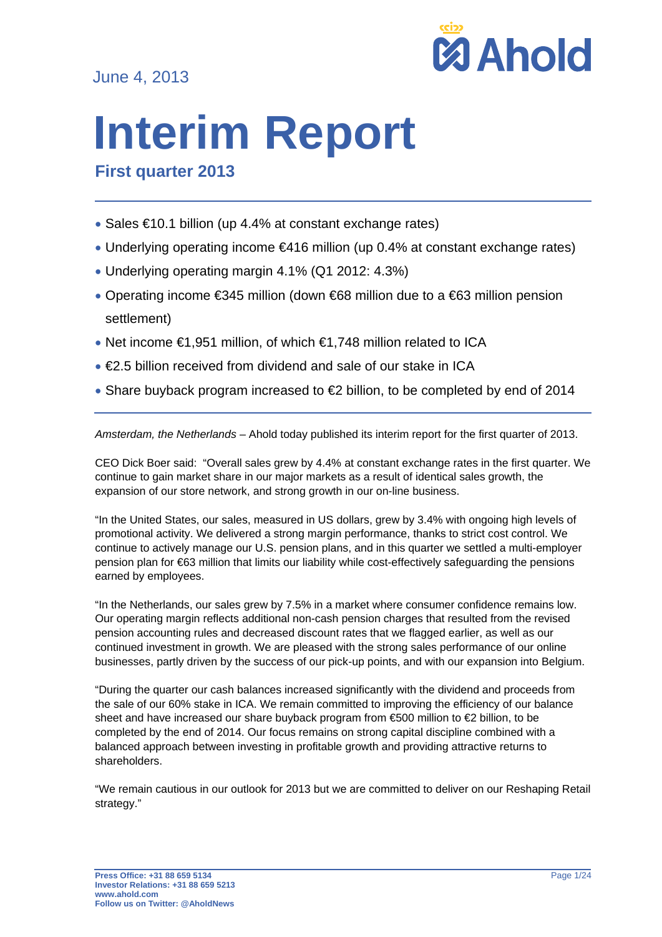June 4, 2013



# **Interim Report**

**First quarter 2013**

- Sales €10.1 billion (up 4.4% at constant exchange rates)
- Underlying operating income €416 million (up 0.4% at constant exchange rates)
- Underlying operating margin 4.1% (Q1 2012: 4.3%)
- Operating income €345 million (down €68 million due to a €63 million pension settlement)
- Net income €1,951 million, of which €1,748 million related to ICA
- €2.5 billion received from dividend and sale of our stake in ICA
- Share buyback program increased to  $\epsilon$  billion, to be completed by end of 2014

*Amsterdam, the Netherlands* – Ahold today published its interim report for the first quarter of 2013.

CEO Dick Boer said: "Overall sales grew by 4.4% at constant exchange rates in the first quarter. We continue to gain market share in our major markets as a result of identical sales growth, the expansion of our store network, and strong growth in our on-line business.

"In the United States, our sales, measured in US dollars, grew by 3.4% with ongoing high levels of promotional activity. We delivered a strong margin performance, thanks to strict cost control. We continue to actively manage our U.S. pension plans, and in this quarter we settled a multi-employer pension plan for €63 million that limits our liability while cost-effectively safeguarding the pensions earned by employees.

"In the Netherlands, our sales grew by 7.5% in a market where consumer confidence remains low. Our operating margin reflects additional non-cash pension charges that resulted from the revised pension accounting rules and decreased discount rates that we flagged earlier, as well as our continued investment in growth. We are pleased with the strong sales performance of our online businesses, partly driven by the success of our pick-up points, and with our expansion into Belgium.

"During the quarter our cash balances increased significantly with the dividend and proceeds from the sale of our 60% stake in ICA. We remain committed to improving the efficiency of our balance sheet and have increased our share buyback program from €500 million to €2 billion, to be completed by the end of 2014. Our focus remains on strong capital discipline combined with a balanced approach between investing in profitable growth and providing attractive returns to shareholders.

"We remain cautious in our outlook for 2013 but we are committed to deliver on our Reshaping Retail strategy."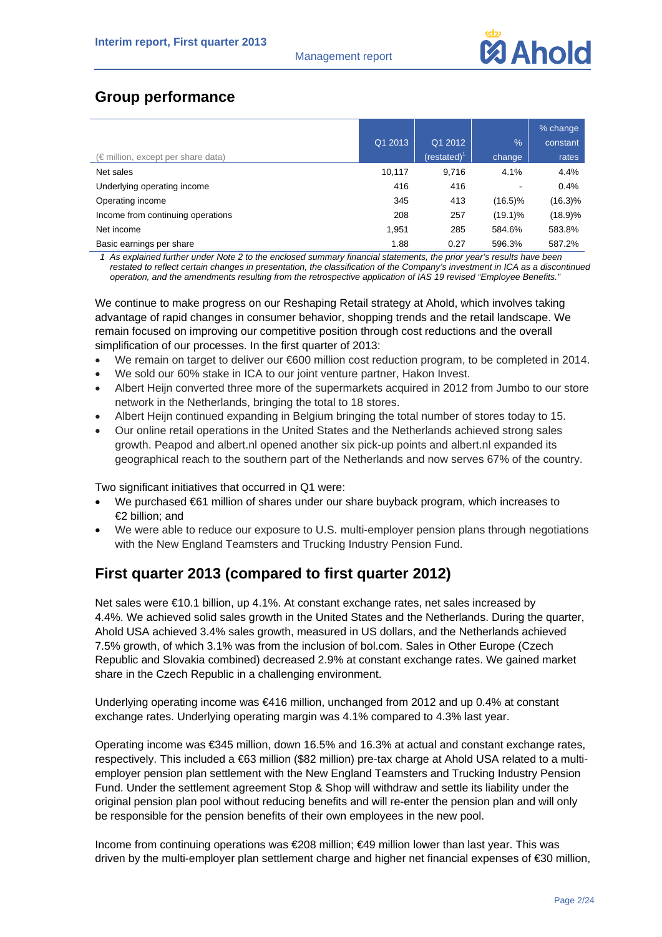# **Group performance**

|                                             |         |                 |                          | % change |
|---------------------------------------------|---------|-----------------|--------------------------|----------|
|                                             | Q1 2013 | Q1 2012         | $\frac{1}{2}$            | constant |
| $(\epsilon$ million, except per share data) |         | (restated) $^1$ | change                   | rates    |
| Net sales                                   | 10,117  | 9.716           | 4.1%                     | 4.4%     |
| Underlying operating income                 | 416     | 416             | $\overline{\phantom{a}}$ | 0.4%     |
| Operating income                            | 345     | 413             | $(16.5)\%$               | (16.3)%  |
| Income from continuing operations           | 208     | 257             | $(19.1)\%$               | (18.9)%  |
| Net income                                  | 1,951   | 285             | 584.6%                   | 583.8%   |
| Basic earnings per share                    | 1.88    | 0.27            | 596.3%                   | 587.2%   |

*1 As explained further under Note 2 to the enclosed summary financial statements, the prior year's results have been restated to reflect certain changes in presentation, the classification of the Company's investment in ICA as a discontinued operation, and the amendments resulting from the retrospective application of IAS 19 revised "Employee Benefits."* 

We continue to make progress on our Reshaping Retail strategy at Ahold, which involves taking advantage of rapid changes in consumer behavior, shopping trends and the retail landscape. We remain focused on improving our competitive position through cost reductions and the overall simplification of our processes. In the first quarter of 2013:

- We remain on target to deliver our €600 million cost reduction program, to be completed in 2014.
- We sold our 60% stake in ICA to our joint venture partner, Hakon Invest.
- Albert Heijn converted three more of the supermarkets acquired in 2012 from Jumbo to our store network in the Netherlands, bringing the total to 18 stores.
- Albert Heijn continued expanding in Belgium bringing the total number of stores today to 15.
- Our online retail operations in the United States and the Netherlands achieved strong sales growth. Peapod and albert.nl opened another six pick-up points and albert.nl expanded its geographical reach to the southern part of the Netherlands and now serves 67% of the country.

Two significant initiatives that occurred in Q1 were:

- We purchased €61 million of shares under our share buyback program, which increases to €2 billion; and
- We were able to reduce our exposure to U.S. multi-employer pension plans through negotiations with the New England Teamsters and Trucking Industry Pension Fund.

# **First quarter 2013 (compared to first quarter 2012)**

Net sales were €10.1 billion, up 4.1%. At constant exchange rates, net sales increased by 4.4%. We achieved solid sales growth in the United States and the Netherlands. During the quarter, Ahold USA achieved 3.4% sales growth, measured in US dollars, and the Netherlands achieved 7.5% growth, of which 3.1% was from the inclusion of bol.com. Sales in Other Europe (Czech Republic and Slovakia combined) decreased 2.9% at constant exchange rates. We gained market share in the Czech Republic in a challenging environment.

Underlying operating income was €416 million, unchanged from 2012 and up 0.4% at constant exchange rates. Underlying operating margin was 4.1% compared to 4.3% last year.

Operating income was €345 million, down 16.5% and 16.3% at actual and constant exchange rates, respectively. This included a €63 million (\$82 million) pre-tax charge at Ahold USA related to a multiemployer pension plan settlement with the New England Teamsters and Trucking Industry Pension Fund. Under the settlement agreement Stop & Shop will withdraw and settle its liability under the original pension plan pool without reducing benefits and will re-enter the pension plan and will only be responsible for the pension benefits of their own employees in the new pool.

Income from continuing operations was €208 million; €49 million lower than last year. This was driven by the multi-employer plan settlement charge and higher net financial expenses of €30 million,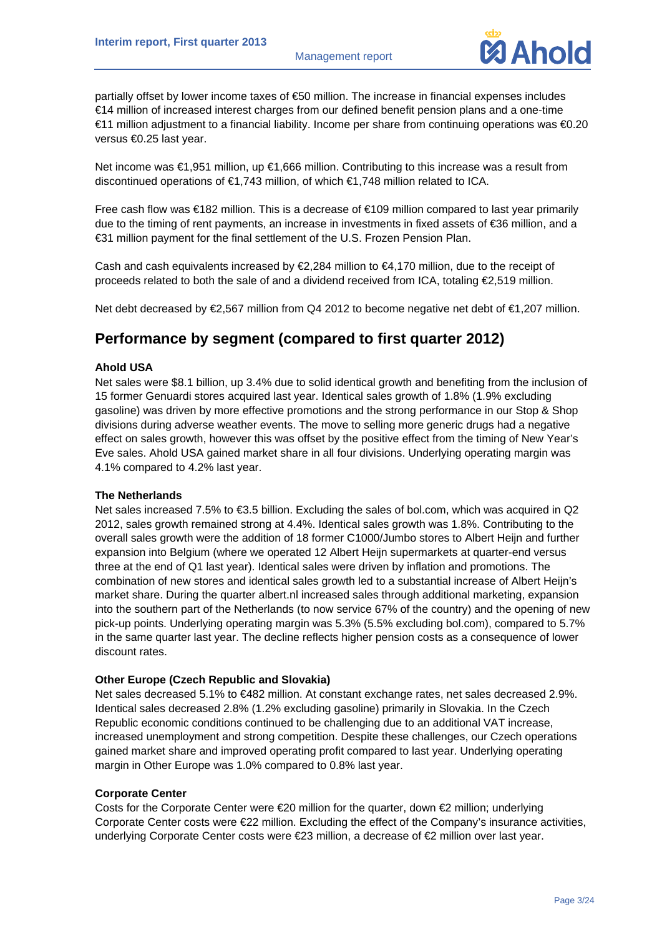

partially offset by lower income taxes of €50 million. The increase in financial expenses includes €14 million of increased interest charges from our defined benefit pension plans and a one-time €11 million adjustment to a financial liability. Income per share from continuing operations was €0.20 versus €0.25 last year.

Net income was €1,951 million, up €1,666 million. Contributing to this increase was a result from discontinued operations of €1,743 million, of which €1,748 million related to ICA.

Free cash flow was €182 million. This is a decrease of €109 million compared to last year primarily due to the timing of rent payments, an increase in investments in fixed assets of €36 million, and a €31 million payment for the final settlement of the U.S. Frozen Pension Plan.

Cash and cash equivalents increased by  $\epsilon$ 2,284 million to  $\epsilon$ 4,170 million, due to the receipt of proceeds related to both the sale of and a dividend received from ICA, totaling  $\epsilon$ 2,519 million.

Net debt decreased by €2,567 million from Q4 2012 to become negative net debt of €1,207 million.

# **Performance by segment (compared to first quarter 2012)**

# **Ahold USA**

Net sales were \$8.1 billion, up 3.4% due to solid identical growth and benefiting from the inclusion of 15 former Genuardi stores acquired last year. Identical sales growth of 1.8% (1.9% excluding gasoline) was driven by more effective promotions and the strong performance in our Stop & Shop divisions during adverse weather events. The move to selling more generic drugs had a negative effect on sales growth, however this was offset by the positive effect from the timing of New Year's Eve sales. Ahold USA gained market share in all four divisions. Underlying operating margin was 4.1% compared to 4.2% last year.

## **The Netherlands**

Net sales increased 7.5% to €3.5 billion. Excluding the sales of bol.com, which was acquired in Q2 2012, sales growth remained strong at 4.4%. Identical sales growth was 1.8%. Contributing to the overall sales growth were the addition of 18 former C1000/Jumbo stores to Albert Heijn and further expansion into Belgium (where we operated 12 Albert Heijn supermarkets at quarter-end versus three at the end of Q1 last year). Identical sales were driven by inflation and promotions. The combination of new stores and identical sales growth led to a substantial increase of Albert Heijn's market share. During the quarter albert.nl increased sales through additional marketing, expansion into the southern part of the Netherlands (to now service 67% of the country) and the opening of new pick-up points. Underlying operating margin was 5.3% (5.5% excluding bol.com), compared to 5.7% in the same quarter last year. The decline reflects higher pension costs as a consequence of lower discount rates.

## **Other Europe (Czech Republic and Slovakia)**

Net sales decreased 5.1% to €482 million. At constant exchange rates, net sales decreased 2.9%. Identical sales decreased 2.8% (1.2% excluding gasoline) primarily in Slovakia. In the Czech Republic economic conditions continued to be challenging due to an additional VAT increase, increased unemployment and strong competition. Despite these challenges, our Czech operations gained market share and improved operating profit compared to last year. Underlying operating margin in Other Europe was 1.0% compared to 0.8% last year.

## **Corporate Center**

Costs for the Corporate Center were €20 million for the quarter, down €2 million; underlying Corporate Center costs were €22 million. Excluding the effect of the Company's insurance activities, underlying Corporate Center costs were €23 million, a decrease of €2 million over last year.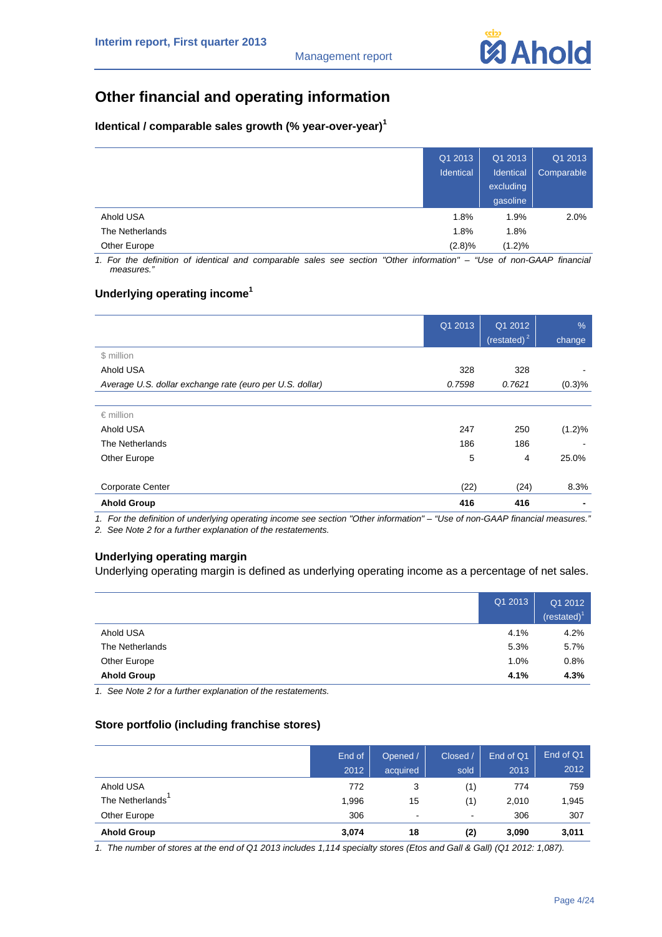# **Other financial and operating information**

# **Identical / comparable sales growth (% year-over-year)<sup>1</sup>**

|                 | Q1 2013<br>Identical | Q1 2013<br>Identical<br>excluding<br>gasoline | Q1 2013<br>Comparable |
|-----------------|----------------------|-----------------------------------------------|-----------------------|
| Ahold USA       | 1.8%                 | 1.9%                                          | 2.0%                  |
| The Netherlands | 1.8%                 | 1.8%                                          |                       |
| Other Europe    | $(2.8)\%$            | $(1.2)\%$                                     |                       |

*1. For the definition of identical and comparable sales see section "Other information" – "Use of non-GAAP financial measures."* 

# **Underlying operating income<sup>1</sup>**

|                                                          | Q1 2013 | Q1 2012<br>$(\text{restated})^2$ | $\frac{9}{6}$<br>change |
|----------------------------------------------------------|---------|----------------------------------|-------------------------|
| \$ million                                               |         |                                  |                         |
| Ahold USA                                                | 328     | 328                              | ٠                       |
| Average U.S. dollar exchange rate (euro per U.S. dollar) | 0.7598  | 0.7621                           | (0.3)%                  |
|                                                          |         |                                  |                         |
| $\epsilon$ million                                       |         |                                  |                         |
| Ahold USA                                                | 247     | 250                              | $(1.2)\%$               |
| The Netherlands                                          | 186     | 186                              |                         |
| Other Europe                                             | 5       | 4                                | 25.0%                   |
|                                                          |         |                                  |                         |
| Corporate Center                                         | (22)    | (24)                             | 8.3%                    |
| <b>Ahold Group</b>                                       | 416     | 416                              | $\blacksquare$          |

*1. For the definition of underlying operating income see section "Other information" – "Use of non-GAAP financial measures."* 

*2. See Note 2 for a further explanation of the restatements.* 

# **Underlying operating margin**

Underlying operating margin is defined as underlying operating income as a percentage of net sales.

|                    | Q1 2013 | Q1 2012<br>(rested) <sup>1</sup> |
|--------------------|---------|----------------------------------|
| Ahold USA          | 4.1%    | 4.2%                             |
| The Netherlands    | 5.3%    | 5.7%                             |
| Other Europe       | 1.0%    | 0.8%                             |
| <b>Ahold Group</b> | 4.1%    | 4.3%                             |

*1. See Note 2 for a further explanation of the restatements.* 

# **Store portfolio (including franchise stores)**

|                    | End of<br>2012 | Opened /<br>acquired     | Closed /<br>sold         | End of Q1<br>2013 | End of Q1<br>2012 |
|--------------------|----------------|--------------------------|--------------------------|-------------------|-------------------|
| Ahold USA          | 772            | 3                        | (1)                      | 774               | 759               |
| The Netherlands    | 1,996          | 15                       | (1)                      | 2,010             | 1,945             |
| Other Europe       | 306            | $\overline{\phantom{a}}$ | $\overline{\phantom{a}}$ | 306               | 307               |
| <b>Ahold Group</b> | 3,074          | 18                       | (2)                      | 3,090             | 3,011             |

*1. The number of stores at the end of Q1 2013 includes 1,114 specialty stores (Etos and Gall & Gall) (Q1 2012: 1,087).*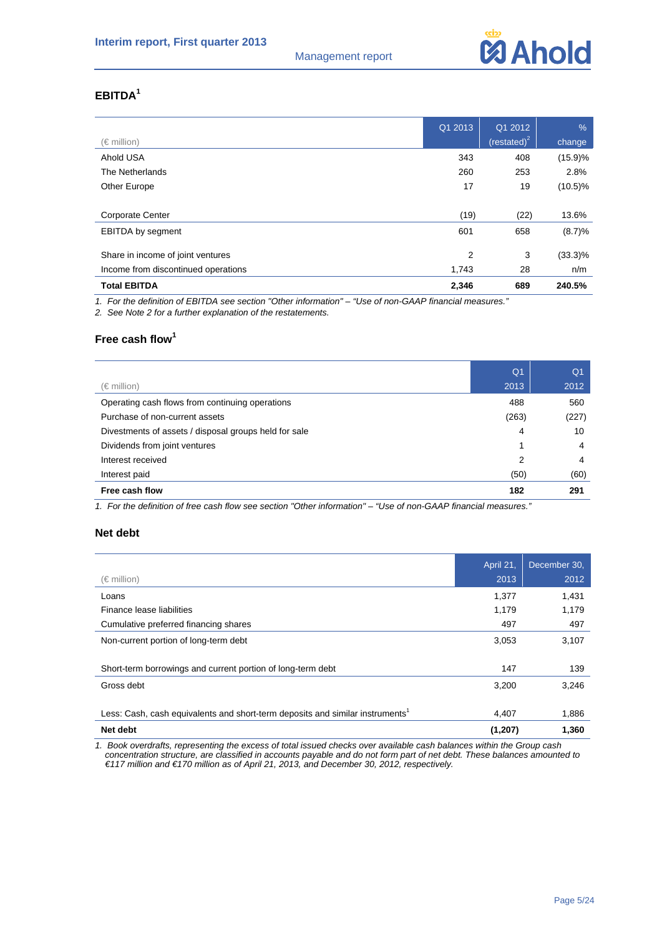

# **EBITDA<sup>1</sup>**

|                                     | Q1 2013 | Q1 2012                 | $\frac{9}{6}$ |
|-------------------------------------|---------|-------------------------|---------------|
| $(\in$ million)                     |         | (restated) <sup>2</sup> | change        |
| Ahold USA                           | 343     | 408                     | (15.9)%       |
| The Netherlands                     | 260     | 253                     | 2.8%          |
| Other Europe                        | 17      | 19                      | $(10.5)\%$    |
|                                     |         |                         |               |
| <b>Corporate Center</b>             | (19)    | (22)                    | 13.6%         |
| <b>EBITDA</b> by segment            | 601     | 658                     | (8.7)%        |
|                                     |         |                         |               |
| Share in income of joint ventures   | 2       | 3                       | $(33.3)\%$    |
| Income from discontinued operations | 1,743   | 28                      | n/m           |
| <b>Total EBITDA</b>                 | 2,346   | 689                     | 240.5%        |

*1. For the definition of EBITDA see section "Other information" – "Use of non-GAAP financial measures."* 

*2. See Note 2 for a further explanation of the restatements.* 

# **Free cash flow<sup>1</sup>**

|                                                       | Q <sub>1</sub> | Q <sub>1</sub> |
|-------------------------------------------------------|----------------|----------------|
| (€ million)                                           | 2013           | 2012           |
| Operating cash flows from continuing operations       | 488            | 560            |
| Purchase of non-current assets                        | (263)          | (227)          |
| Divestments of assets / disposal groups held for sale | 4              | 10             |
| Dividends from joint ventures                         | 1              | 4              |
| Interest received                                     | 2              | 4              |
| Interest paid                                         | (50)           | (60)           |
| Free cash flow                                        | 182            | 291            |

*1. For the definition of free cash flow see section "Other information" – "Use of non-GAAP financial measures."* 

# **Net debt**

|                                                                                           | April 21, | December 30. |
|-------------------------------------------------------------------------------------------|-----------|--------------|
| (€ million)                                                                               | 2013      | 2012         |
| Loans                                                                                     | 1,377     | 1,431        |
| Finance lease liabilities                                                                 | 1,179     | 1,179        |
| Cumulative preferred financing shares                                                     | 497       | 497          |
| Non-current portion of long-term debt                                                     | 3,053     | 3,107        |
|                                                                                           |           |              |
| Short-term borrowings and current portion of long-term debt                               | 147       | 139          |
| Gross debt                                                                                | 3,200     | 3,246        |
|                                                                                           |           |              |
| Less: Cash, cash equivalents and short-term deposits and similar instruments <sup>1</sup> | 4.407     | 1,886        |
| Net debt                                                                                  | (1, 207)  | 1,360        |

*1. Book overdrafts, representing the excess of total issued checks over available cash balances within the Group cash concentration structure, are classified in accounts payable and do not form part of net debt. These balances amounted to €117 million and €170 million as of April 21, 2013, and December 30, 2012, respectively.*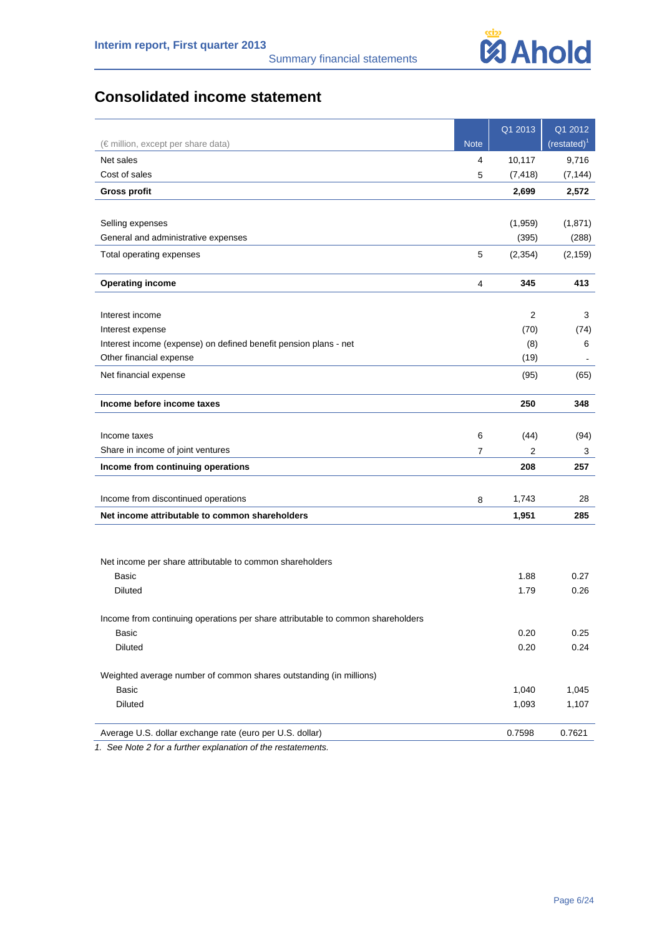

# **Consolidated income statement**

|                                                                                 |             | Q1 2013  | Q1 2012      |
|---------------------------------------------------------------------------------|-------------|----------|--------------|
| (€ million, except per share data)                                              | <b>Note</b> |          | $(rested)^T$ |
| Net sales                                                                       | 4           | 10,117   | 9,716        |
| Cost of sales                                                                   | 5           | (7, 418) | (7, 144)     |
| <b>Gross profit</b>                                                             |             | 2,699    | 2,572        |
|                                                                                 |             |          |              |
| Selling expenses                                                                |             | (1,959)  | (1,871)      |
| General and administrative expenses                                             |             | (395)    | (288)        |
| Total operating expenses                                                        | 5           | (2, 354) | (2, 159)     |
| <b>Operating income</b>                                                         | 4           | 345      | 413          |
|                                                                                 |             |          |              |
| Interest income                                                                 |             | 2        | 3            |
| Interest expense                                                                |             | (70)     | (74)         |
| Interest income (expense) on defined benefit pension plans - net                |             | (8)      | 6            |
| Other financial expense                                                         |             | (19)     |              |
| Net financial expense                                                           |             | (95)     | (65)         |
| Income before income taxes                                                      |             | 250      | 348          |
|                                                                                 |             |          |              |
| Income taxes                                                                    | 6           | (44)     | (94)         |
| Share in income of joint ventures                                               | 7           | 2        | 3            |
| Income from continuing operations                                               |             | 208      | 257          |
| Income from discontinued operations                                             | 8           | 1,743    | 28           |
| Net income attributable to common shareholders                                  |             | 1,951    | 285          |
|                                                                                 |             |          |              |
| Net income per share attributable to common shareholders                        |             |          |              |
| Basic                                                                           |             | 1.88     | 0.27         |
| <b>Diluted</b>                                                                  |             | 1.79     | 0.26         |
| Income from continuing operations per share attributable to common shareholders |             |          |              |
| Basic                                                                           |             | 0.20     | 0.25         |
| Diluted                                                                         |             | 0.20     | 0.24         |
| Weighted average number of common shares outstanding (in millions)              |             |          |              |
| <b>Basic</b>                                                                    |             | 1,040    | 1,045        |
| Diluted                                                                         |             | 1,093    | 1,107        |
| Average U.S. dollar exchange rate (euro per U.S. dollar)                        |             | 0.7598   | 0.7621       |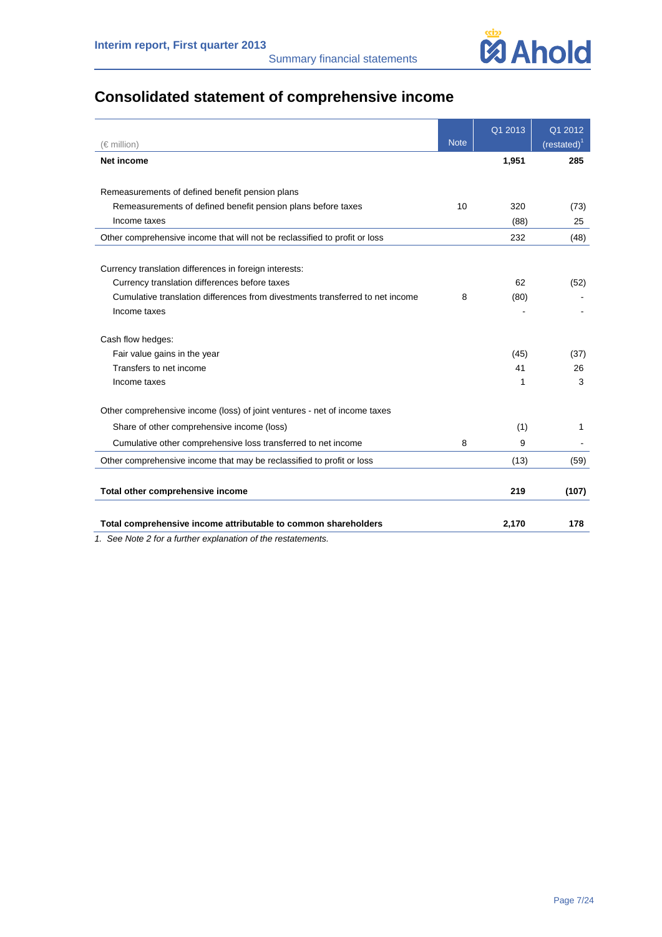

# **Consolidated statement of comprehensive income**

| $(\in$ million)                                                               | <b>Note</b> | Q1 2013 | Q1 2012<br>$(rested)^T$ |
|-------------------------------------------------------------------------------|-------------|---------|-------------------------|
| <b>Net income</b>                                                             |             | 1,951   | 285                     |
|                                                                               |             |         |                         |
| Remeasurements of defined benefit pension plans                               |             |         |                         |
| Remeasurements of defined benefit pension plans before taxes                  | 10          | 320     | (73)                    |
| Income taxes                                                                  |             | (88)    | 25                      |
| Other comprehensive income that will not be reclassified to profit or loss    |             | 232     | (48)                    |
|                                                                               |             |         |                         |
| Currency translation differences in foreign interests:                        |             |         |                         |
| Currency translation differences before taxes                                 |             | 62      | (52)                    |
| Cumulative translation differences from divestments transferred to net income | 8           | (80)    |                         |
| Income taxes                                                                  |             |         |                         |
| Cash flow hedges:                                                             |             |         |                         |
| Fair value gains in the year                                                  |             | (45)    | (37)                    |
| Transfers to net income                                                       |             | 41      | 26                      |
| Income taxes                                                                  |             | 1       | 3                       |
| Other comprehensive income (loss) of joint ventures - net of income taxes     |             |         |                         |
| Share of other comprehensive income (loss)                                    |             | (1)     | 1                       |
| Cumulative other comprehensive loss transferred to net income                 | 8           | 9       |                         |
| Other comprehensive income that may be reclassified to profit or loss         |             | (13)    | (59)                    |
| Total other comprehensive income                                              |             | 219     | (107)                   |
| Total comprehensive income attributable to common shareholders                |             | 2,170   | 178                     |
| 1 See Note 2 for a further explanation of the restatements                    |             |         |                         |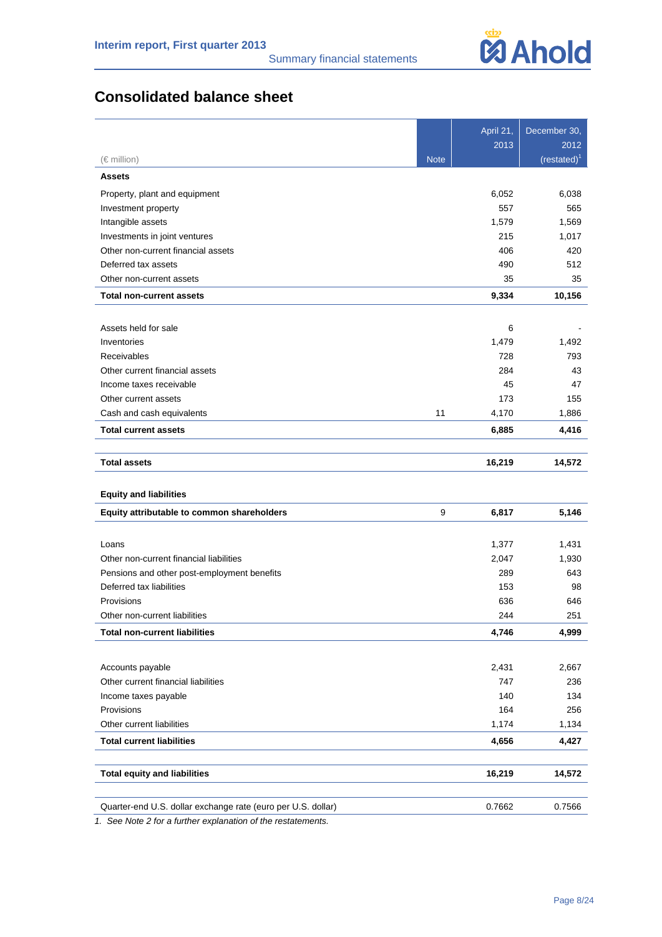

# **Consolidated balance sheet**

|                                                              |             | April 21, | December 30,   |
|--------------------------------------------------------------|-------------|-----------|----------------|
|                                                              |             | 2013      | 2012           |
| $(\in$ million)                                              | <b>Note</b> |           | $(restated)^1$ |
| <b>Assets</b>                                                |             |           |                |
| Property, plant and equipment                                |             | 6,052     | 6,038          |
| Investment property                                          |             | 557       | 565            |
| Intangible assets                                            |             | 1,579     | 1,569          |
| Investments in joint ventures                                |             | 215       | 1,017          |
| Other non-current financial assets                           |             | 406       | 420            |
| Deferred tax assets                                          |             | 490       | 512            |
| Other non-current assets                                     |             | 35        | 35             |
| <b>Total non-current assets</b>                              |             | 9,334     | 10,156         |
|                                                              |             |           |                |
| Assets held for sale                                         |             | 6         |                |
| Inventories                                                  |             | 1,479     | 1,492          |
| Receivables                                                  |             | 728       | 793            |
| Other current financial assets                               |             | 284       | 43             |
| Income taxes receivable                                      |             | 45        | 47             |
| Other current assets                                         |             | 173       | 155            |
| Cash and cash equivalents                                    | 11          | 4,170     | 1,886          |
| <b>Total current assets</b>                                  |             | 6,885     | 4,416          |
| <b>Total assets</b>                                          |             | 16,219    | 14,572         |
| <b>Equity and liabilities</b>                                |             |           |                |
| Equity attributable to common shareholders                   | 9           | 6,817     | 5,146          |
| Loans                                                        |             | 1,377     | 1,431          |
| Other non-current financial liabilities                      |             | 2,047     | 1,930          |
| Pensions and other post-employment benefits                  |             | 289       | 643            |
| Deferred tax liabilities                                     |             | 153       | 98             |
| Provisions                                                   |             | 636       | 646            |
| Other non-current liabilities                                |             | 244       | 251            |
| <b>Total non-current liabilities</b>                         |             | 4,746     | 4,999          |
|                                                              |             |           |                |
| Accounts payable                                             |             | 2,431     | 2,667          |
| Other current financial liabilities                          |             | 747       | 236            |
| Income taxes payable                                         |             | 140       | 134            |
| Provisions                                                   |             | 164       | 256            |
| Other current liabilities                                    |             | 1,174     | 1,134          |
| <b>Total current liabilities</b>                             |             | 4,656     | 4,427          |
| <b>Total equity and liabilities</b>                          |             | 16,219    | 14,572         |
|                                                              |             |           |                |
| Quarter-end U.S. dollar exchange rate (euro per U.S. dollar) |             | 0.7662    | 0.7566         |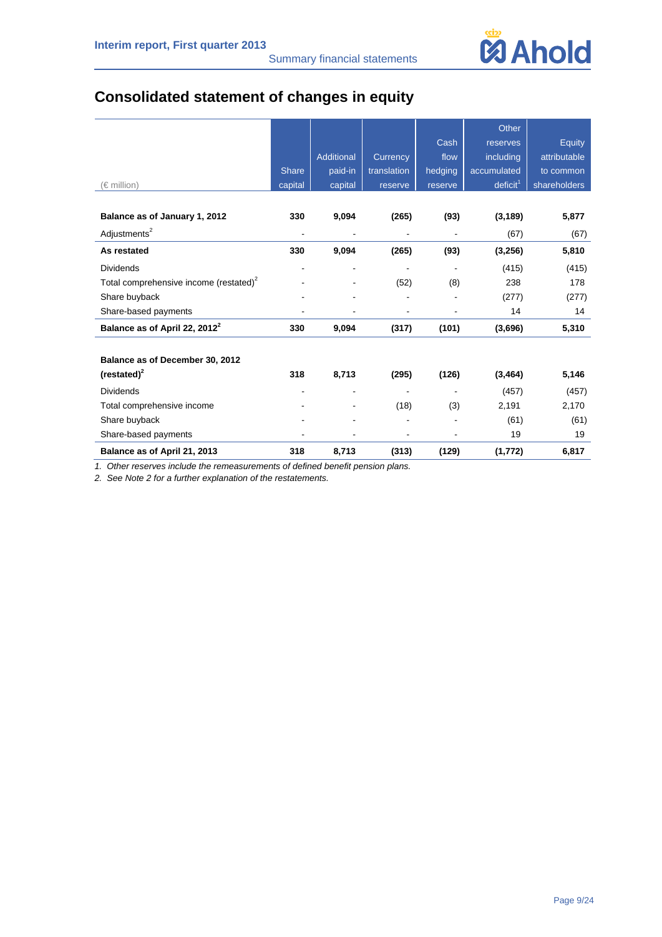

# **Consolidated statement of changes in equity**

|                                                    |                |            |                |         | Other                |              |
|----------------------------------------------------|----------------|------------|----------------|---------|----------------------|--------------|
|                                                    |                |            |                | Cash    | reserves             | Equity       |
|                                                    |                | Additional | Currency       | flow    | including            | attributable |
|                                                    | <b>Share</b>   | paid-in    | translation    | hedging | accumulated          | to common    |
| (€ million)                                        | capital        | capital    | reserve        | reserve | deficit <sup>1</sup> | shareholders |
|                                                    |                |            |                |         |                      |              |
| Balance as of January 1, 2012                      | 330            | 9,094      | (265)          | (93)    | (3, 189)             | 5,877        |
| Adjustments <sup>2</sup>                           | $\blacksquare$ |            | $\blacksquare$ |         | (67)                 | (67)         |
| As restated                                        | 330            | 9,094      | (265)          | (93)    | (3, 256)             | 5,810        |
| <b>Dividends</b>                                   |                |            |                |         | (415)                | (415)        |
| Total comprehensive income (restated) <sup>2</sup> |                |            | (52)           | (8)     | 238                  | 178          |
| Share buyback                                      |                |            |                |         | (277)                | (277)        |
| Share-based payments                               |                |            |                |         | 14                   | 14           |
| Balance as of April 22, 2012 <sup>2</sup>          | 330            | 9,094      | (317)          | (101)   | (3,696)              | 5,310        |
|                                                    |                |            |                |         |                      |              |
| Balance as of December 30, 2012                    |                |            |                |         |                      |              |
| $(restated)^2$                                     | 318            | 8,713      | (295)          | (126)   | (3, 464)             | 5,146        |
| <b>Dividends</b>                                   |                |            |                |         | (457)                | (457)        |
| Total comprehensive income                         |                |            | (18)           | (3)     | 2,191                | 2,170        |
| Share buyback                                      |                |            |                |         | (61)                 | (61)         |
| Share-based payments                               |                |            |                |         | 19                   | 19           |
| Balance as of April 21, 2013                       | 318            | 8,713      | (313)          | (129)   | (1,772)              | 6,817        |

*1. Other reserves include the remeasurements of defined benefit pension plans.*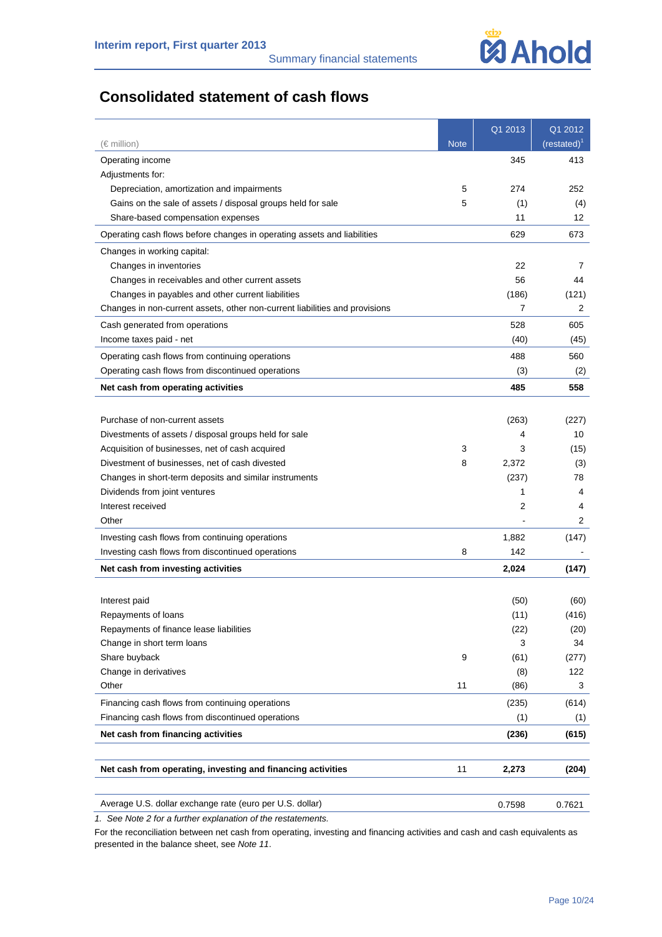

# **Consolidated statement of cash flows**

| (€ million)                                                                 | <b>Note</b> | Q1 2013 | Q1 2012<br>$(restated)^T$ |
|-----------------------------------------------------------------------------|-------------|---------|---------------------------|
| Operating income                                                            |             | 345     | 413                       |
| Adjustments for:                                                            |             |         |                           |
| Depreciation, amortization and impairments                                  | 5           | 274     | 252                       |
| Gains on the sale of assets / disposal groups held for sale                 | 5           | (1)     | (4)                       |
| Share-based compensation expenses                                           |             | 11      | 12                        |
| Operating cash flows before changes in operating assets and liabilities     |             | 629     | 673                       |
| Changes in working capital:                                                 |             |         |                           |
| Changes in inventories                                                      |             | 22      | 7                         |
| Changes in receivables and other current assets                             |             | 56      | 44                        |
| Changes in payables and other current liabilities                           |             | (186)   | (121)                     |
| Changes in non-current assets, other non-current liabilities and provisions |             | 7       | 2                         |
| Cash generated from operations                                              |             | 528     | 605                       |
| Income taxes paid - net                                                     |             | (40)    | (45)                      |
| Operating cash flows from continuing operations                             |             | 488     | 560                       |
| Operating cash flows from discontinued operations                           |             | (3)     | (2)                       |
| Net cash from operating activities                                          |             | 485     | 558                       |
|                                                                             |             |         |                           |
| Purchase of non-current assets                                              |             | (263)   | (227)                     |
| Divestments of assets / disposal groups held for sale                       |             | 4       | 10                        |
| Acquisition of businesses, net of cash acquired                             | 3           | 3       | (15)                      |
| Divestment of businesses, net of cash divested                              | 8           | 2,372   | (3)                       |
| Changes in short-term deposits and similar instruments                      |             | (237)   | 78                        |
| Dividends from joint ventures                                               |             | 1       | 4                         |
| Interest received                                                           |             | 2       | 4                         |
| Other                                                                       |             |         | $\overline{c}$            |
| Investing cash flows from continuing operations                             |             | 1,882   | (147)                     |
| Investing cash flows from discontinued operations                           | 8           | 142     |                           |
| Net cash from investing activities                                          |             | 2,024   | (147)                     |
|                                                                             |             |         |                           |
| Interest paid                                                               |             | (50)    | (60)                      |
| Repayments of loans                                                         |             | (11)    | (416)                     |
| Repayments of finance lease liabilities                                     |             | (22)    | (20)                      |
| Change in short term loans                                                  |             | 3       | 34                        |
| Share buyback                                                               | 9           | (61)    | (277)                     |
| Change in derivatives                                                       |             | (8)     | 122                       |
| Other                                                                       | 11          | (86)    | 3                         |
| Financing cash flows from continuing operations                             |             | (235)   | (614)                     |
| Financing cash flows from discontinued operations                           |             | (1)     | (1)                       |
| Net cash from financing activities                                          |             | (236)   | (615)                     |
| Net cash from operating, investing and financing activities                 | 11          | 2,273   | (204)                     |
|                                                                             |             |         |                           |
| Average U.S. dollar exchange rate (euro per U.S. dollar)                    |             | 0.7598  | 0.7621                    |

*1. See Note 2 for a further explanation of the restatements.* 

For the reconciliation between net cash from operating, investing and financing activities and cash and cash equivalents as presented in the balance sheet, see *Note 11*.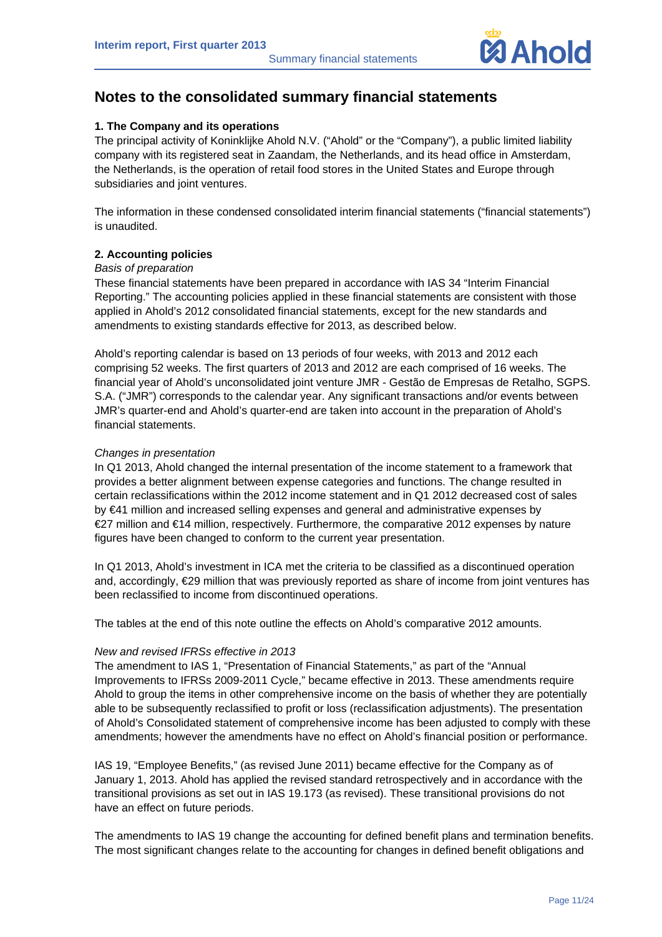

# **Notes to the consolidated summary financial statements**

# **1. The Company and its operations**

The principal activity of Koninklijke Ahold N.V. ("Ahold" or the "Company"), a public limited liability company with its registered seat in Zaandam, the Netherlands, and its head office in Amsterdam, the Netherlands, is the operation of retail food stores in the United States and Europe through subsidiaries and joint ventures.

The information in these condensed consolidated interim financial statements ("financial statements") is unaudited.

# **2. Accounting policies**

## *Basis of preparation*

These financial statements have been prepared in accordance with IAS 34 "Interim Financial Reporting." The accounting policies applied in these financial statements are consistent with those applied in Ahold's 2012 consolidated financial statements, except for the new standards and amendments to existing standards effective for 2013, as described below.

Ahold's reporting calendar is based on 13 periods of four weeks, with 2013 and 2012 each comprising 52 weeks. The first quarters of 2013 and 2012 are each comprised of 16 weeks. The financial year of Ahold's unconsolidated joint venture JMR - Gestão de Empresas de Retalho, SGPS. S.A. ("JMR") corresponds to the calendar year. Any significant transactions and/or events between JMR's quarter-end and Ahold's quarter-end are taken into account in the preparation of Ahold's financial statements.

# *Changes in presentation*

In Q1 2013, Ahold changed the internal presentation of the income statement to a framework that provides a better alignment between expense categories and functions. The change resulted in certain reclassifications within the 2012 income statement and in Q1 2012 decreased cost of sales by €41 million and increased selling expenses and general and administrative expenses by €27 million and €14 million, respectively. Furthermore, the comparative 2012 expenses by nature figures have been changed to conform to the current year presentation.

In Q1 2013, Ahold's investment in ICA met the criteria to be classified as a discontinued operation and, accordingly, €29 million that was previously reported as share of income from joint ventures has been reclassified to income from discontinued operations.

The tables at the end of this note outline the effects on Ahold's comparative 2012 amounts.

## *New and revised IFRSs effective in 2013*

The amendment to IAS 1, "Presentation of Financial Statements," as part of the "Annual Improvements to IFRSs 2009-2011 Cycle," became effective in 2013. These amendments require Ahold to group the items in other comprehensive income on the basis of whether they are potentially able to be subsequently reclassified to profit or loss (reclassification adjustments). The presentation of Ahold's Consolidated statement of comprehensive income has been adjusted to comply with these amendments; however the amendments have no effect on Ahold's financial position or performance.

IAS 19, "Employee Benefits," (as revised June 2011) became effective for the Company as of January 1, 2013. Ahold has applied the revised standard retrospectively and in accordance with the transitional provisions as set out in IAS 19.173 (as revised). These transitional provisions do not have an effect on future periods.

The amendments to IAS 19 change the accounting for defined benefit plans and termination benefits. The most significant changes relate to the accounting for changes in defined benefit obligations and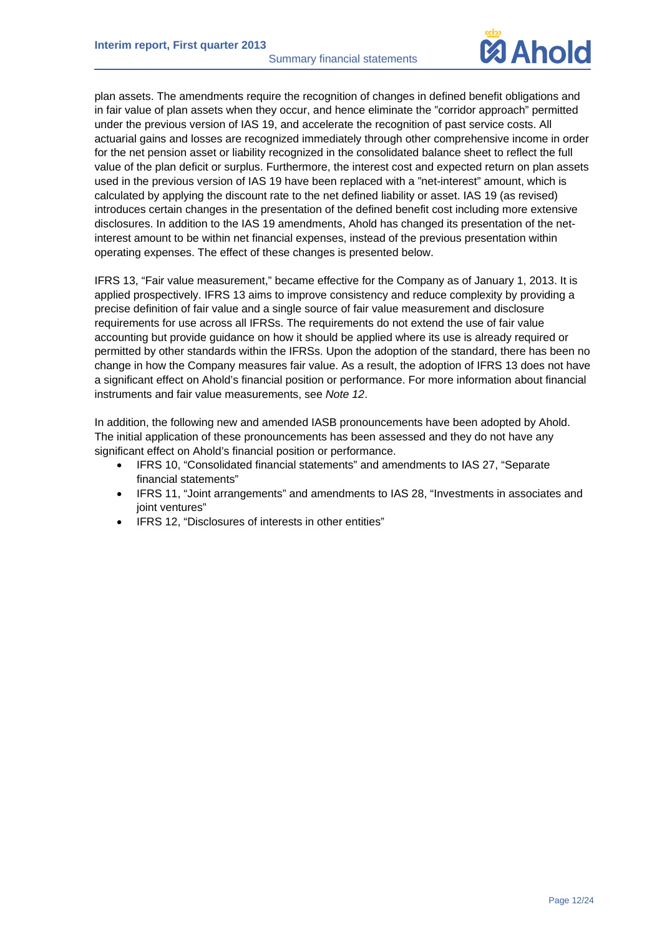Summary financial statements



plan assets. The amendments require the recognition of changes in defined benefit obligations and in fair value of plan assets when they occur, and hence eliminate the "corridor approach" permitted under the previous version of IAS 19, and accelerate the recognition of past service costs. All actuarial gains and losses are recognized immediately through other comprehensive income in order for the net pension asset or liability recognized in the consolidated balance sheet to reflect the full value of the plan deficit or surplus. Furthermore, the interest cost and expected return on plan assets used in the previous version of IAS 19 have been replaced with a "net-interest" amount, which is calculated by applying the discount rate to the net defined liability or asset. IAS 19 (as revised) introduces certain changes in the presentation of the defined benefit cost including more extensive disclosures. In addition to the IAS 19 amendments, Ahold has changed its presentation of the netinterest amount to be within net financial expenses, instead of the previous presentation within operating expenses. The effect of these changes is presented below.

IFRS 13, "Fair value measurement," became effective for the Company as of January 1, 2013. It is applied prospectively. IFRS 13 aims to improve consistency and reduce complexity by providing a precise definition of fair value and a single source of fair value measurement and disclosure requirements for use across all IFRSs. The requirements do not extend the use of fair value accounting but provide guidance on how it should be applied where its use is already required or permitted by other standards within the IFRSs. Upon the adoption of the standard, there has been no change in how the Company measures fair value. As a result, the adoption of IFRS 13 does not have a significant effect on Ahold's financial position or performance. For more information about financial instruments and fair value measurements, see *Note 12*.

In addition, the following new and amended IASB pronouncements have been adopted by Ahold. The initial application of these pronouncements has been assessed and they do not have any significant effect on Ahold's financial position or performance.

- IFRS 10, "Consolidated financial statements" and amendments to IAS 27, "Separate financial statements"
- IFRS 11, "Joint arrangements" and amendments to IAS 28, "Investments in associates and joint ventures"
- IFRS 12, "Disclosures of interests in other entities"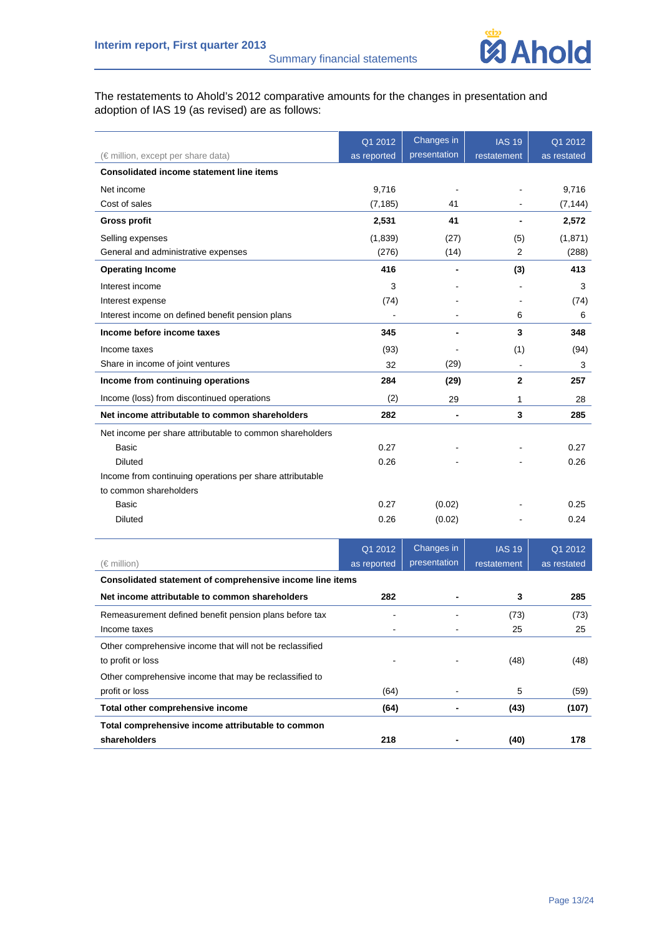

The restatements to Ahold's 2012 comparative amounts for the changes in presentation and adoption of IAS 19 (as revised) are as follows:

|                                                           | Q1 2012     | Changes in     | <b>IAS 19</b>  | Q1 2012     |
|-----------------------------------------------------------|-------------|----------------|----------------|-------------|
| (€ million, except per share data)                        | as reported | presentation   | restatement    | as restated |
| <b>Consolidated income statement line items</b>           |             |                |                |             |
| Net income                                                | 9,716       |                |                | 9,716       |
| Cost of sales                                             | (7, 185)    | 41             |                | (7, 144)    |
| <b>Gross profit</b>                                       | 2,531       | 41             |                | 2,572       |
| Selling expenses                                          | (1,839)     | (27)           | (5)            | (1,871)     |
| General and administrative expenses                       | (276)       | (14)           | 2              | (288)       |
| <b>Operating Income</b>                                   | 416         |                | (3)            | 413         |
| Interest income                                           | 3           |                |                | 3           |
| Interest expense                                          | (74)        |                |                | (74)        |
| Interest income on defined benefit pension plans          |             |                | 6              | 6           |
| Income before income taxes                                | 345         |                | 3              | 348         |
| Income taxes                                              | (93)        |                | (1)            | (94)        |
| Share in income of joint ventures                         | 32          | (29)           | $\blacksquare$ | 3           |
| Income from continuing operations                         | 284         | (29)           | $\mathbf{2}$   | 257         |
| Income (loss) from discontinued operations                | (2)         | 29             | 1              | 28          |
| Net income attributable to common shareholders            | 282         | $\overline{a}$ | 3              | 285         |
| Net income per share attributable to common shareholders  |             |                |                |             |
| Basic                                                     | 0.27        |                |                | 0.27        |
| <b>Diluted</b>                                            | 0.26        |                |                | 0.26        |
| Income from continuing operations per share attributable  |             |                |                |             |
| to common shareholders                                    |             |                |                |             |
| Basic                                                     | 0.27        | (0.02)         |                | 0.25        |
| <b>Diluted</b>                                            | 0.26        | (0.02)         |                | 0.24        |
|                                                           | Q1 2012     | Changes in     | <b>IAS 19</b>  | Q1 2012     |
| $(\in$ million)                                           | as reported | presentation   | restatement    | as restated |
| Consolidated statement of comprehensive income line items |             |                |                |             |
| Net income attributable to common shareholders            | 282         |                | 3              | 285         |
| Remeasurement defined benefit pension plans before tax    |             |                | (73)           | (73)        |
| Income taxes                                              |             |                | 25             | 25          |
| Other comprehensive income that will not be reclassified  |             |                |                |             |
| to profit or loss                                         |             |                | (48)           | (48)        |
| Other comprehensive income that may be reclassified to    |             |                |                |             |
| profit or loss                                            | (64)        |                | 5              | (59)        |
| Total other comprehensive income                          | (64)        |                | (43)           | (107)       |
| Total comprehensive income attributable to common         |             |                |                |             |

**shareholders** 178 **218** - (40) 178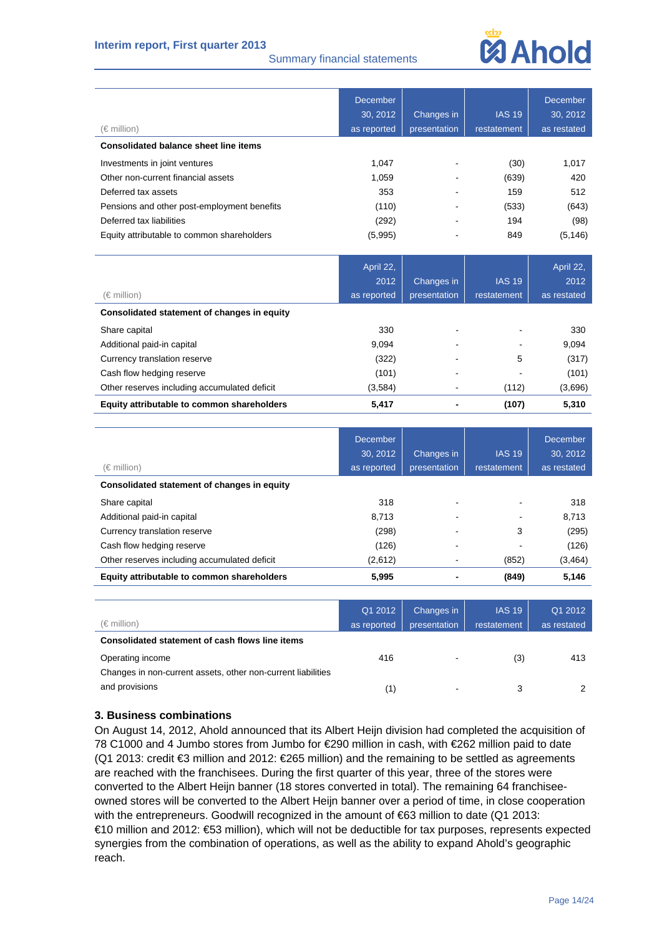# **Interim report, First quarter 2013**

## Summary financial statements

# **Mahold**

|                                              | <b>December</b> |              |               | <b>December</b> |
|----------------------------------------------|-----------------|--------------|---------------|-----------------|
|                                              | 30, 2012        | Changes in   | <b>IAS 19</b> | 30, 2012        |
| (€ million)                                  | as reported     | presentation | restatement   | as restated     |
| <b>Consolidated balance sheet line items</b> |                 |              |               |                 |
| Investments in joint ventures                | 1,047           |              | (30)          | 1,017           |
| Other non-current financial assets           | 1,059           |              | (639)         | 420             |
| Deferred tax assets                          | 353             |              | 159           | 512             |
| Pensions and other post-employment benefits  | (110)           |              | (533)         | (643)           |
| Deferred tax liabilities                     | (292)           |              | 194           | (98)            |
| Equity attributable to common shareholders   | (5,995)         |              | 849           | (5, 146)        |
|                                              |                 |              |               |                 |
|                                              | April 22,       |              |               | April 22,       |
|                                              | 2012            | Changes in   | <b>IAS 19</b> | 2012            |
| (€ million)                                  | as reported     | presentation | restatement   | as restated     |
| Consolidated statement of changes in equity  |                 |              |               |                 |
| Share capital                                | 330             |              |               | 330             |
| Additional paid-in capital                   | 9,094           |              |               | 9,094           |
| Currency translation reserve                 | (322)           |              | 5             | (317)           |
| Cash flow hedging reserve                    | (101)           |              |               | (101)           |
| Other reserves including accumulated deficit | (3,584)         |              | (112)         | (3,696)         |

| <b>Equity attributable to common shareholders</b> | 5.417 | (107) | 5,310 |
|---------------------------------------------------|-------|-------|-------|
|                                                   |       |       |       |

| (€ million)                                  | December<br>30, 2012<br>as reported | Changes in<br>presentation | <b>IAS 19</b><br>restatement | <b>December</b><br>30, 2012<br>as restated |
|----------------------------------------------|-------------------------------------|----------------------------|------------------------------|--------------------------------------------|
| Consolidated statement of changes in equity  |                                     |                            |                              |                                            |
| Share capital                                | 318                                 |                            |                              | 318                                        |
| Additional paid-in capital                   | 8.713                               |                            |                              | 8,713                                      |
| Currency translation reserve                 | (298)                               |                            | 3                            | (295)                                      |
| Cash flow hedging reserve                    | (126)                               |                            |                              | (126)                                      |
| Other reserves including accumulated deficit | (2,612)                             | ٠                          | (852)                        | (3, 464)                                   |
| Equity attributable to common shareholders   | 5.995                               |                            | (849)                        | 5,146                                      |

|                                                              | Q1 2012     | Changes in               | <b>IAS 19</b> | Q1 2012     |
|--------------------------------------------------------------|-------------|--------------------------|---------------|-------------|
| $(\in$ million)                                              | as reported | presentation             | restatement   | as restated |
| Consolidated statement of cash flows line items              |             |                          |               |             |
| Operating income                                             | 416         | $\overline{\phantom{a}}$ | (3)           | 413         |
| Changes in non-current assets, other non-current liabilities |             |                          |               |             |
| and provisions                                               | (1)         | $\,$                     | 3             |             |

# **3. Business combinations**

On August 14, 2012, Ahold announced that its Albert Heijn division had completed the acquisition of 78 C1000 and 4 Jumbo stores from Jumbo for €290 million in cash, with €262 million paid to date (Q1 2013: credit €3 million and 2012: €265 million) and the remaining to be settled as agreements are reached with the franchisees. During the first quarter of this year, three of the stores were converted to the Albert Heijn banner (18 stores converted in total). The remaining 64 franchiseeowned stores will be converted to the Albert Heijn banner over a period of time, in close cooperation with the entrepreneurs. Goodwill recognized in the amount of €63 million to date (Q1 2013: €10 million and 2012: €53 million), which will not be deductible for tax purposes, represents expected synergies from the combination of operations, as well as the ability to expand Ahold's geographic reach.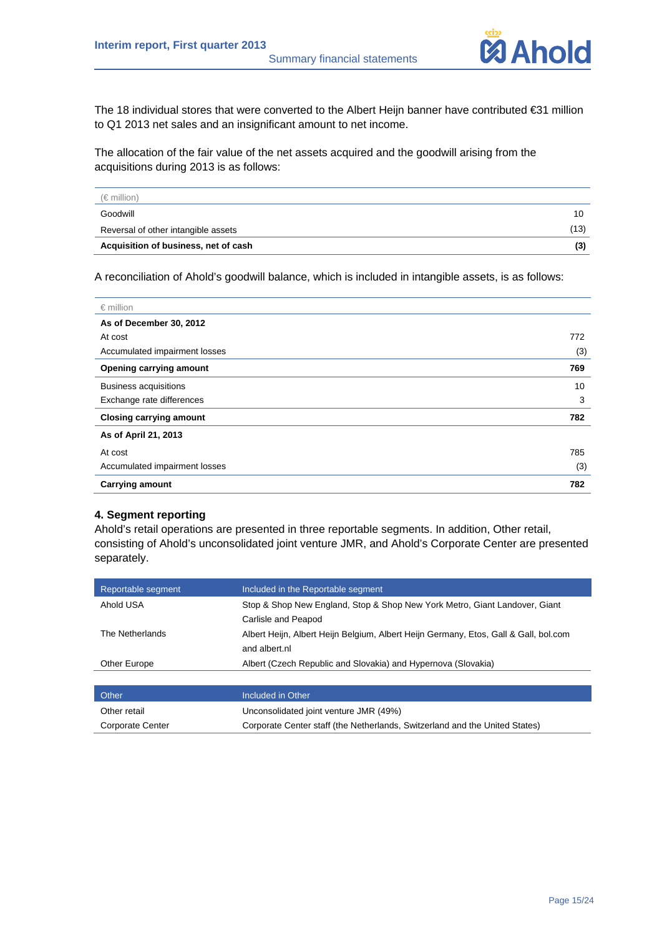

The 18 individual stores that were converted to the Albert Heijn banner have contributed €31 million to Q1 2013 net sales and an insignificant amount to net income.

The allocation of the fair value of the net assets acquired and the goodwill arising from the acquisitions during 2013 is as follows:

| $(\in$ million)                      |      |
|--------------------------------------|------|
| Goodwill                             | 10   |
| Reversal of other intangible assets  | (13) |
| Acquisition of business, net of cash | (3)  |

A reconciliation of Ahold's goodwill balance, which is included in intangible assets, is as follows:

| $\epsilon$ million             |     |
|--------------------------------|-----|
| As of December 30, 2012        |     |
| At cost                        | 772 |
| Accumulated impairment losses  | (3) |
| <b>Opening carrying amount</b> | 769 |
| <b>Business acquisitions</b>   | 10  |
| Exchange rate differences      | 3   |
| <b>Closing carrying amount</b> | 782 |
| As of April 21, 2013           |     |
| At cost                        | 785 |
| Accumulated impairment losses  | (3) |
| <b>Carrying amount</b>         | 782 |

# **4. Segment reporting**

Ahold's retail operations are presented in three reportable segments. In addition, Other retail, consisting of Ahold's unconsolidated joint venture JMR, and Ahold's Corporate Center are presented separately.

| Reportable segment      | Included in the Reportable segment                                                                    |
|-------------------------|-------------------------------------------------------------------------------------------------------|
| Ahold USA               | Stop & Shop New England, Stop & Shop New York Metro, Giant Landover, Giant<br>Carlisle and Peapod     |
| The Netherlands         | Albert Heijn, Albert Heijn Belgium, Albert Heijn Germany, Etos, Gall & Gall, bol.com<br>and albert.nl |
| Other Europe            | Albert (Czech Republic and Slovakia) and Hypernova (Slovakia)                                         |
|                         |                                                                                                       |
| Other                   | Included in Other                                                                                     |
| Other retail            | Unconsolidated joint venture JMR (49%)                                                                |
| <b>Corporate Center</b> | Corporate Center staff (the Netherlands, Switzerland and the United States)                           |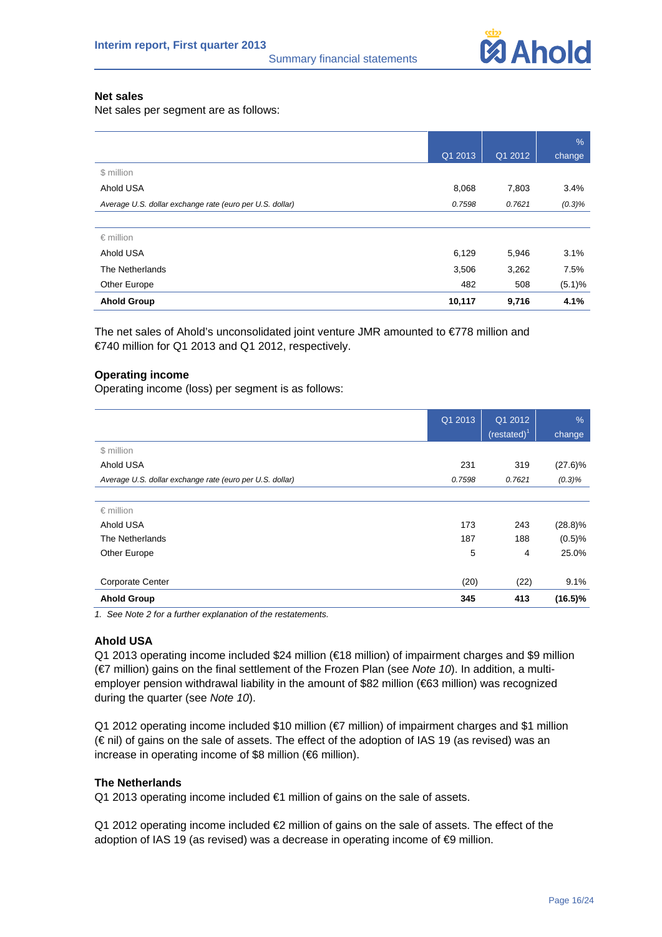

## **Net sales**

Net sales per segment are as follows:

|                                                          |         |         | %         |
|----------------------------------------------------------|---------|---------|-----------|
|                                                          | Q1 2013 | Q1 2012 | change    |
| \$ million                                               |         |         |           |
| Ahold USA                                                | 8,068   | 7,803   | 3.4%      |
| Average U.S. dollar exchange rate (euro per U.S. dollar) | 0.7598  | 0.7621  | $(0.3)\%$ |
|                                                          |         |         |           |
| $\epsilon$ million                                       |         |         |           |
| Ahold USA                                                | 6,129   | 5,946   | 3.1%      |
| The Netherlands                                          | 3,506   | 3,262   | 7.5%      |
| Other Europe                                             | 482     | 508     | (5.1)%    |
| <b>Ahold Group</b>                                       | 10,117  | 9,716   | 4.1%      |

The net sales of Ahold's unconsolidated joint venture JMR amounted to €778 million and €740 million for Q1 2013 and Q1 2012, respectively.

# **Operating income**

Operating income (loss) per segment is as follows:

|                                                          | Q1 2013 | Q1 2012        | $\%$       |
|----------------------------------------------------------|---------|----------------|------------|
|                                                          |         | (restated) $1$ | change     |
| \$ million                                               |         |                |            |
| Ahold USA                                                | 231     | 319            | $(27.6)\%$ |
| Average U.S. dollar exchange rate (euro per U.S. dollar) | 0.7598  | 0.7621         | $(0.3)\%$  |
|                                                          |         |                |            |
| $\epsilon$ million                                       |         |                |            |
| Ahold USA                                                | 173     | 243            | $(28.8)\%$ |
| The Netherlands                                          | 187     | 188            | (0.5)%     |
| Other Europe                                             | 5       | 4              | 25.0%      |
|                                                          |         |                |            |
| <b>Corporate Center</b>                                  | (20)    | (22)           | 9.1%       |
| <b>Ahold Group</b>                                       | 345     | 413            | $(16.5)\%$ |

*1. See Note 2 for a further explanation of the restatements.* 

#### **Ahold USA**

Q1 2013 operating income included \$24 million (€18 million) of impairment charges and \$9 million (€7 million) gains on the final settlement of the Frozen Plan (see *Note 10*). In addition, a multiemployer pension withdrawal liability in the amount of \$82 million (€63 million) was recognized during the quarter (see *Note 10*).

Q1 2012 operating income included \$10 million (€7 million) of impairment charges and \$1 million (€ nil) of gains on the sale of assets. The effect of the adoption of IAS 19 (as revised) was an increase in operating income of \$8 million (€6 million).

#### **The Netherlands**

Q1 2013 operating income included €1 million of gains on the sale of assets.

Q1 2012 operating income included  $\bigoplus$  million of gains on the sale of assets. The effect of the adoption of IAS 19 (as revised) was a decrease in operating income of **€**9 million.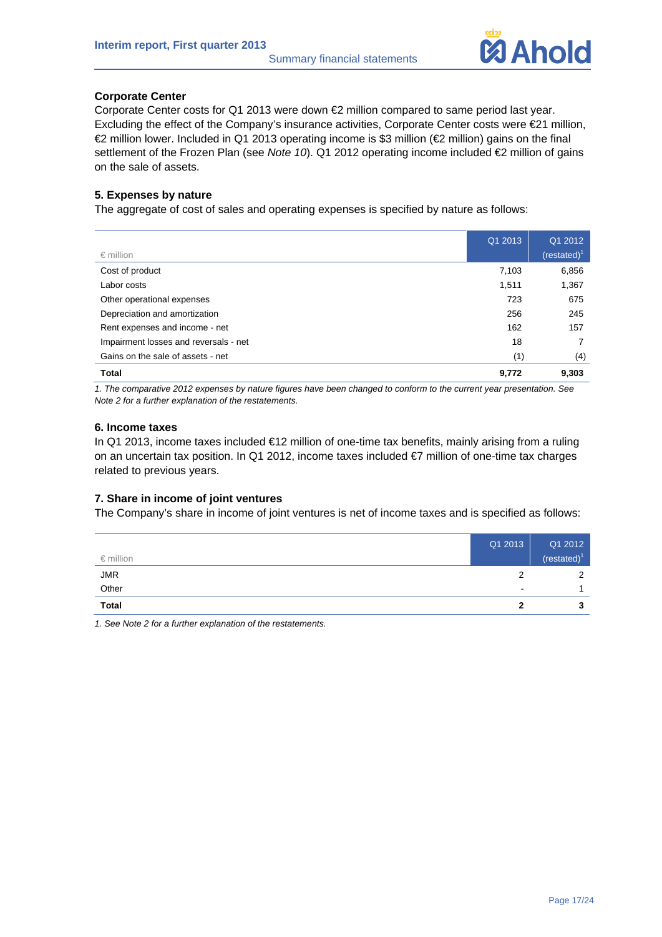

# **Corporate Center**

Corporate Center costs for Q1 2013 were down  $\bigoplus$  million compared to same period last year. Excluding the effect of the Company's insurance activities, Corporate Center costs were €21 million, €2 million lower. Included in Q1 2013 operating income is \$3 million (€2 million) gains on the final settlement of the Frozen Plan (see *Note 10*). Q1 2012 operating income included €2 million of gains on the sale of assets.

# **5. Expenses by nature**

The aggregate of cost of sales and operating expenses is specified by nature as follows:

| Total                                 | 9,772   | 9,303           |
|---------------------------------------|---------|-----------------|
| Gains on the sale of assets - net     | (1)     | (4)             |
| Impairment losses and reversals - net | 18      | 7               |
| Rent expenses and income - net        | 162     | 157             |
| Depreciation and amortization         | 256     | 245             |
| Other operational expenses            | 723     | 675             |
| Labor costs                           | 1,511   | 1,367           |
| Cost of product                       | 7,103   | 6,856           |
| $\epsilon$ million                    |         | (restated) $^1$ |
|                                       | Q1 2013 | Q1 2012         |

*1. The comparative 2012 expenses by nature figures have been changed to conform to the current year presentation. See Note 2 for a further explanation of the restatements.* 

#### **6. Income taxes**

In Q1 2013, income taxes included €12 million of one-time tax benefits, mainly arising from a ruling on an uncertain tax position. In Q1 2012, income taxes included €7 million of one-time tax charges related to previous years.

## **7. Share in income of joint ventures**

The Company's share in income of joint ventures is net of income taxes and is specified as follows:

| $\epsilon$ million | Q1 2013 | Q1 2012<br>(restated) |
|--------------------|---------|-----------------------|
| <b>JMR</b>         | 2       | ◠                     |
| Other              | $\,$    |                       |
| <b>Total</b>       | ຳ       | ◠<br>J                |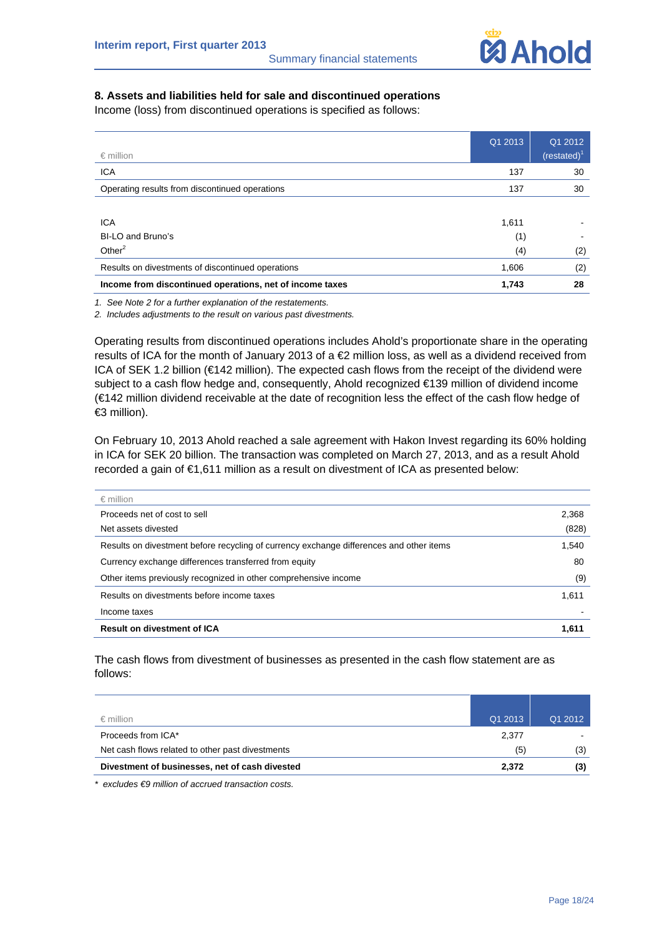

# **8. Assets and liabilities held for sale and discontinued operations**

Income (loss) from discontinued operations is specified as follows:

|                                                          | Q1 2013 | Q1 2012        |
|----------------------------------------------------------|---------|----------------|
| $\epsilon$ million                                       |         | $(restated)^1$ |
| <b>ICA</b>                                               | 137     | 30             |
| Operating results from discontinued operations           | 137     | 30             |
|                                                          |         |                |
| <b>ICA</b>                                               | 1,611   |                |
| BI-LO and Bruno's                                        | (1)     |                |
| Other $2$                                                | (4)     | (2)            |
| Results on divestments of discontinued operations        | 1,606   | (2)            |
| Income from discontinued operations, net of income taxes | 1,743   | 28             |

*1. See Note 2 for a further explanation of the restatements.* 

*2. Includes adjustments to the result on various past divestments.* 

Operating results from discontinued operations includes Ahold's proportionate share in the operating results of ICA for the month of January 2013 of a €2 million loss, as well as a dividend received from ICA of SEK 1.2 billion (€142 million). The expected cash flows from the receipt of the dividend were subject to a cash flow hedge and, consequently, Ahold recognized €139 million of dividend income (€142 million dividend receivable at the date of recognition less the effect of the cash flow hedge of €3 million).

On February 10, 2013 Ahold reached a sale agreement with Hakon Invest regarding its 60% holding in ICA for SEK 20 billion. The transaction was completed on March 27, 2013, and as a result Ahold recorded a gain of €1,611 million as a result on divestment of ICA as presented below:

| $\epsilon$ million                                                                      |       |
|-----------------------------------------------------------------------------------------|-------|
| Proceeds net of cost to sell                                                            | 2,368 |
| Net assets divested                                                                     | (828) |
| Results on divestment before recycling of currency exchange differences and other items | 1.540 |
| Currency exchange differences transferred from equity                                   | 80    |
| Other items previously recognized in other comprehensive income                         | (9)   |
| Results on divestments before income taxes                                              | 1,611 |
| Income taxes                                                                            |       |
| <b>Result on divestment of ICA</b>                                                      | 1.611 |

The cash flows from divestment of businesses as presented in the cash flow statement are as follows:

| Divestment of businesses, net of cash divested   | 2.372   | (3)     |
|--------------------------------------------------|---------|---------|
| Net cash flows related to other past divestments | (5)     | (3)     |
| Proceeds from ICA*                               | 2.377   |         |
| $\epsilon$ million                               | Q1 2013 | Q1 2012 |

*\* excludes €9 million of accrued transaction costs.*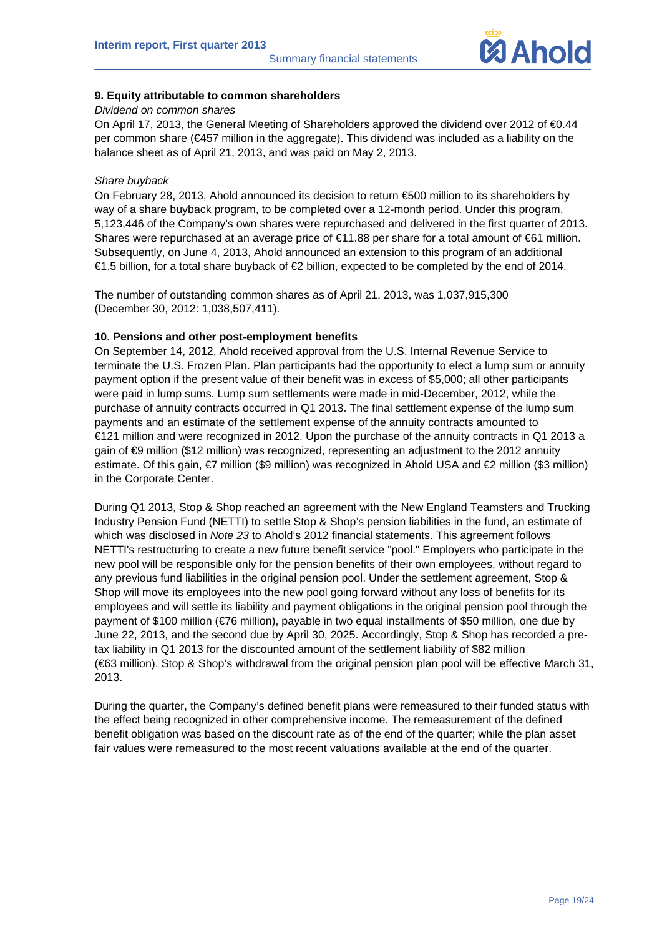

# **9. Equity attributable to common shareholders**

# *Dividend on common shares*

On April 17, 2013, the General Meeting of Shareholders approved the dividend over 2012 of €0.44 per common share (€457 million in the aggregate). This dividend was included as a liability on the balance sheet as of April 21, 2013, and was paid on May 2, 2013.

# *Share buyback*

On February 28, 2013, Ahold announced its decision to return €500 million to its shareholders by way of a share buyback program, to be completed over a 12-month period. Under this program, 5,123,446 of the Company's own shares were repurchased and delivered in the first quarter of 2013. Shares were repurchased at an average price of €11.88 per share for a total amount of €61 million. Subsequently, on June 4, 2013, Ahold announced an extension to this program of an additional €1.5 billion, for a total share buyback of €2 billion, expected to be completed by the end of 2014.

The number of outstanding common shares as of April 21, 2013, was 1,037,915,300 (December 30, 2012: 1,038,507,411).

# **10. Pensions and other post-employment benefits**

On September 14, 2012, Ahold received approval from the U.S. Internal Revenue Service to terminate the U.S. Frozen Plan. Plan participants had the opportunity to elect a lump sum or annuity payment option if the present value of their benefit was in excess of \$5,000; all other participants were paid in lump sums. Lump sum settlements were made in mid-December, 2012, while the purchase of annuity contracts occurred in Q1 2013. The final settlement expense of the lump sum payments and an estimate of the settlement expense of the annuity contracts amounted to €121 million and were recognized in 2012. Upon the purchase of the annuity contracts in Q1 2013 a gain of €9 million (\$12 million) was recognized, representing an adjustment to the 2012 annuity estimate. Of this gain, *€*7 million (\$9 million) was recognized in Ahold USA and *€2* million (\$3 million) in the Corporate Center.

During Q1 2013, Stop & Shop reached an agreement with the New England Teamsters and Trucking Industry Pension Fund (NETTI) to settle Stop & Shop's pension liabilities in the fund, an estimate of which was disclosed in *Note 23* to Ahold's 2012 financial statements. This agreement follows NETTI's restructuring to create a new future benefit service "pool." Employers who participate in the new pool will be responsible only for the pension benefits of their own employees, without regard to any previous fund liabilities in the original pension pool. Under the settlement agreement, Stop & Shop will move its employees into the new pool going forward without any loss of benefits for its employees and will settle its liability and payment obligations in the original pension pool through the payment of \$100 million (€76 million), payable in two equal installments of \$50 million, one due by June 22, 2013, and the second due by April 30, 2025. Accordingly, Stop & Shop has recorded a pretax liability in Q1 2013 for the discounted amount of the settlement liability of \$82 million (€63 million). Stop & Shop's withdrawal from the original pension plan pool will be effective March 31, 2013.

During the quarter, the Company's defined benefit plans were remeasured to their funded status with the effect being recognized in other comprehensive income. The remeasurement of the defined benefit obligation was based on the discount rate as of the end of the quarter; while the plan asset fair values were remeasured to the most recent valuations available at the end of the quarter.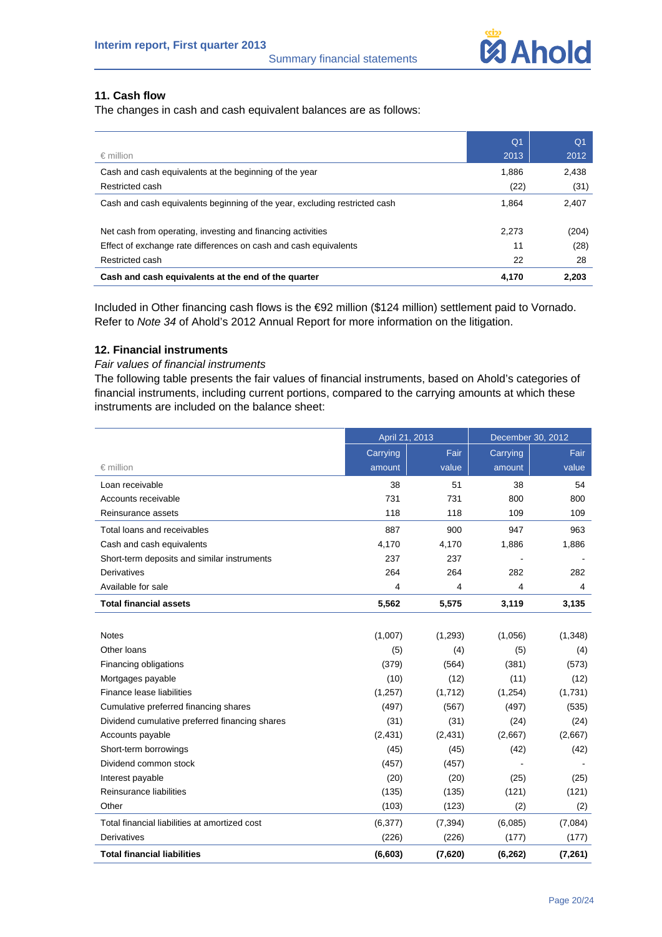

# **11. Cash flow**

The changes in cash and cash equivalent balances are as follows:

|                                                                            | Q <sub>1</sub> | Q <sub>1</sub> |
|----------------------------------------------------------------------------|----------------|----------------|
| $\epsilon$ million                                                         | 2013           | 2012           |
| Cash and cash equivalents at the beginning of the year                     | 1.886          | 2,438          |
| Restricted cash                                                            | (22)           | (31)           |
| Cash and cash equivalents beginning of the year, excluding restricted cash | 1.864          | 2.407          |
| Net cash from operating, investing and financing activities                | 2,273          | (204)          |
| Effect of exchange rate differences on cash and cash equivalents           | 11             | (28)           |
| Restricted cash                                                            | 22             | 28             |
| Cash and cash equivalents at the end of the quarter                        | 4.170          | 2.203          |

Included in Other financing cash flows is the €92 million (\$124 million) settlement paid to Vornado. Refer to *Note 34* of Ahold's 2012 Annual Report for more information on the litigation.

# **12. Financial instruments**

# *Fair values of financial instruments*

The following table presents the fair values of financial instruments, based on Ahold's categories of financial instruments, including current portions, compared to the carrying amounts at which these instruments are included on the balance sheet:

|                                                | April 21, 2013 |          | December 30, 2012 |          |
|------------------------------------------------|----------------|----------|-------------------|----------|
|                                                | Carrying       | Fair     | Carrying          | Fair     |
| $\epsilon$ million                             | amount         | value    | amount            | value    |
| Loan receivable                                | 38             | 51       | 38                | 54       |
| Accounts receivable                            | 731            | 731      | 800               | 800      |
| Reinsurance assets                             | 118            | 118      | 109               | 109      |
| Total loans and receivables                    | 887            | 900      | 947               | 963      |
| Cash and cash equivalents                      | 4,170          | 4,170    | 1,886             | 1,886    |
| Short-term deposits and similar instruments    | 237            | 237      |                   |          |
| <b>Derivatives</b>                             | 264            | 264      | 282               | 282      |
| Available for sale                             | 4              | 4        | 4                 | 4        |
| <b>Total financial assets</b>                  | 5,562          | 5,575    | 3,119             | 3,135    |
|                                                |                |          |                   |          |
| <b>Notes</b>                                   | (1,007)        | (1, 293) | (1,056)           | (1, 348) |
| Other Ioans                                    | (5)            | (4)      | (5)               | (4)      |
| Financing obligations                          | (379)          | (564)    | (381)             | (573)    |
| Mortgages payable                              | (10)           | (12)     | (11)              | (12)     |
| Finance lease liabilities                      | (1, 257)       | (1,712)  | (1,254)           | (1,731)  |
| Cumulative preferred financing shares          | (497)          | (567)    | (497)             | (535)    |
| Dividend cumulative preferred financing shares | (31)           | (31)     | (24)              | (24)     |
| Accounts payable                               | (2, 431)       | (2,431)  | (2,667)           | (2,667)  |
| Short-term borrowings                          | (45)           | (45)     | (42)              | (42)     |
| Dividend common stock                          | (457)          | (457)    |                   |          |
| Interest payable                               | (20)           | (20)     | (25)              | (25)     |
| Reinsurance liabilities                        | (135)          | (135)    | (121)             | (121)    |
| Other                                          | (103)          | (123)    | (2)               | (2)      |
| Total financial liabilities at amortized cost  | (6,377)        | (7, 394) | (6,085)           | (7,084)  |
| Derivatives                                    | (226)          | (226)    | (177)             | (177)    |
| <b>Total financial liabilities</b>             | (6, 603)       | (7,620)  | (6, 262)          | (7, 261) |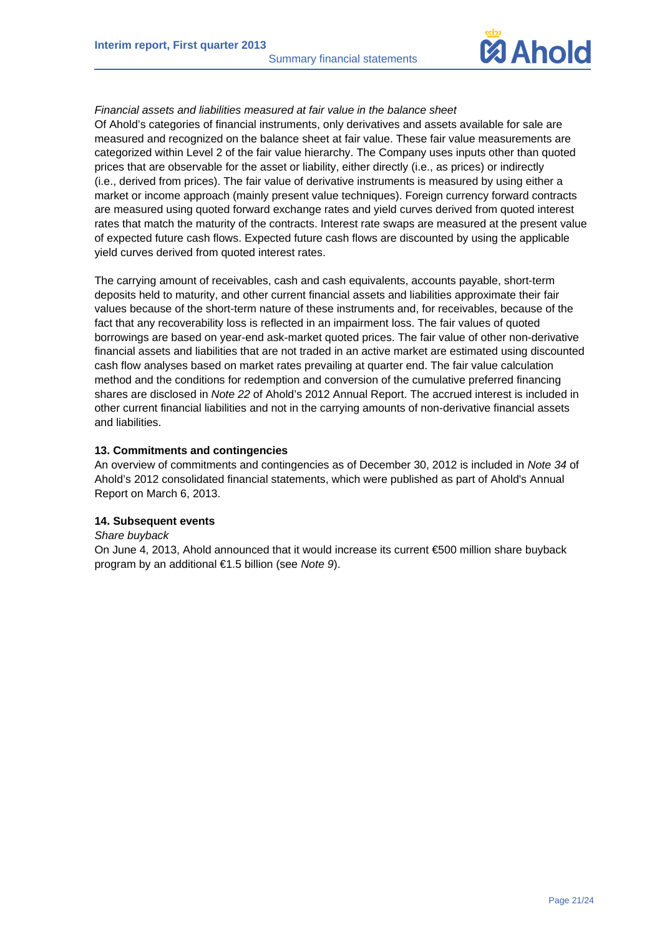Summary financial statements



# *Financial assets and liabilities measured at fair value in the balance sheet*

Of Ahold's categories of financial instruments, only derivatives and assets available for sale are measured and recognized on the balance sheet at fair value. These fair value measurements are categorized within Level 2 of the fair value hierarchy. The Company uses inputs other than quoted prices that are observable for the asset or liability, either directly (i.e., as prices) or indirectly (i.e., derived from prices). The fair value of derivative instruments is measured by using either a market or income approach (mainly present value techniques). Foreign currency forward contracts are measured using quoted forward exchange rates and yield curves derived from quoted interest rates that match the maturity of the contracts. Interest rate swaps are measured at the present value of expected future cash flows. Expected future cash flows are discounted by using the applicable yield curves derived from quoted interest rates.

The carrying amount of receivables, cash and cash equivalents, accounts payable, short-term deposits held to maturity, and other current financial assets and liabilities approximate their fair values because of the short-term nature of these instruments and, for receivables, because of the fact that any recoverability loss is reflected in an impairment loss. The fair values of quoted borrowings are based on year-end ask-market quoted prices. The fair value of other non-derivative financial assets and liabilities that are not traded in an active market are estimated using discounted cash flow analyses based on market rates prevailing at quarter end. The fair value calculation method and the conditions for redemption and conversion of the cumulative preferred financing shares are disclosed in *Note 22* of Ahold's 2012 Annual Report. The accrued interest is included in other current financial liabilities and not in the carrying amounts of non-derivative financial assets and liabilities.

# **13. Commitments and contingencies**

An overview of commitments and contingencies as of December 30, 2012 is included in *Note 34* of Ahold's 2012 consolidated financial statements, which were published as part of Ahold's Annual Report on March 6, 2013.

# **14. Subsequent events**

*Share buyback* 

On June 4, 2013, Ahold announced that it would increase its current €500 million share buyback program by an additional €1.5 billion (see *Note 9*).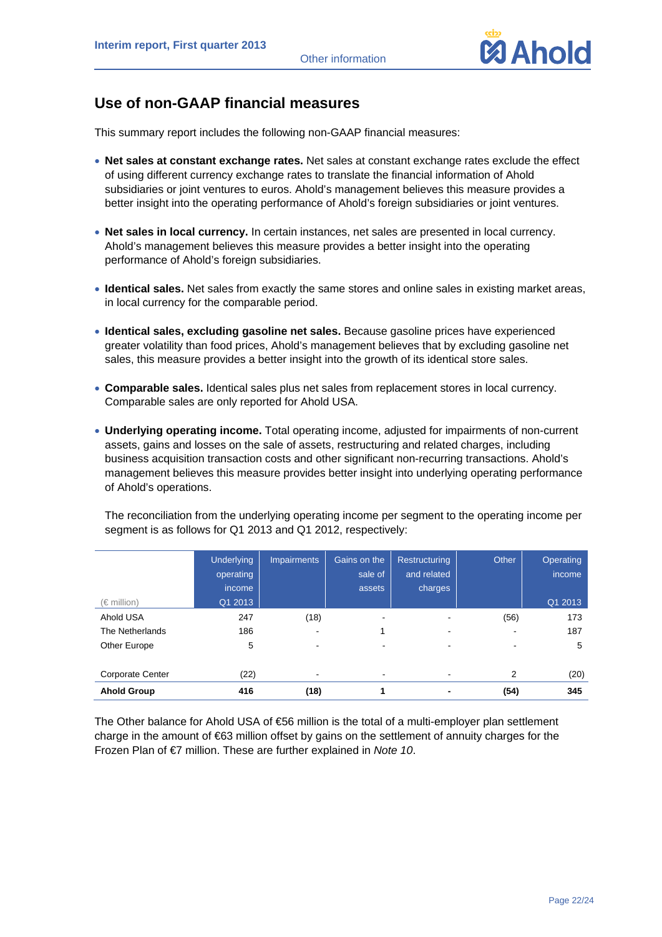

# **Use of non-GAAP financial measures**

This summary report includes the following non-GAAP financial measures:

- **Net sales at constant exchange rates.** Net sales at constant exchange rates exclude the effect of using different currency exchange rates to translate the financial information of Ahold subsidiaries or joint ventures to euros. Ahold's management believes this measure provides a better insight into the operating performance of Ahold's foreign subsidiaries or joint ventures.
- **Net sales in local currency.** In certain instances, net sales are presented in local currency. Ahold's management believes this measure provides a better insight into the operating performance of Ahold's foreign subsidiaries.
- **Identical sales.** Net sales from exactly the same stores and online sales in existing market areas, in local currency for the comparable period.
- **Identical sales, excluding gasoline net sales.** Because gasoline prices have experienced greater volatility than food prices, Ahold's management believes that by excluding gasoline net sales, this measure provides a better insight into the growth of its identical store sales.
- **Comparable sales.** Identical sales plus net sales from replacement stores in local currency. Comparable sales are only reported for Ahold USA.
- **Underlying operating income.** Total operating income, adjusted for impairments of non-current assets, gains and losses on the sale of assets, restructuring and related charges, including business acquisition transaction costs and other significant non-recurring transactions. Ahold's management believes this measure provides better insight into underlying operating performance of Ahold's operations.

| $(\in$ million)         | <b>Underlying</b><br>operating<br>income<br>Q1 2013 | <b>Impairments</b> | Gains on the<br>sale of<br>assets | Restructuring<br>and related<br>charges | Other          | Operating<br>income<br>Q1 2013 |
|-------------------------|-----------------------------------------------------|--------------------|-----------------------------------|-----------------------------------------|----------------|--------------------------------|
| Ahold USA               | 247                                                 | (18)               |                                   |                                         | (56)           | 173                            |
| The Netherlands         | 186                                                 |                    |                                   |                                         |                | 187                            |
| Other Europe            | 5                                                   |                    |                                   |                                         |                | 5                              |
|                         |                                                     |                    |                                   |                                         |                |                                |
| <b>Corporate Center</b> | (22)                                                |                    |                                   |                                         | $\overline{2}$ | (20)                           |
| <b>Ahold Group</b>      | 416                                                 | (18)               |                                   |                                         | (54)           | 345                            |

The reconciliation from the underlying operating income per segment to the operating income per segment is as follows for Q1 2013 and Q1 2012, respectively:

The Other balance for Ahold USA of €56 million is the total of a multi-employer plan settlement charge in the amount of €63 million offset by gains on the settlement of annuity charges for the Frozen Plan of €7 million. These are further explained in *Note 10*.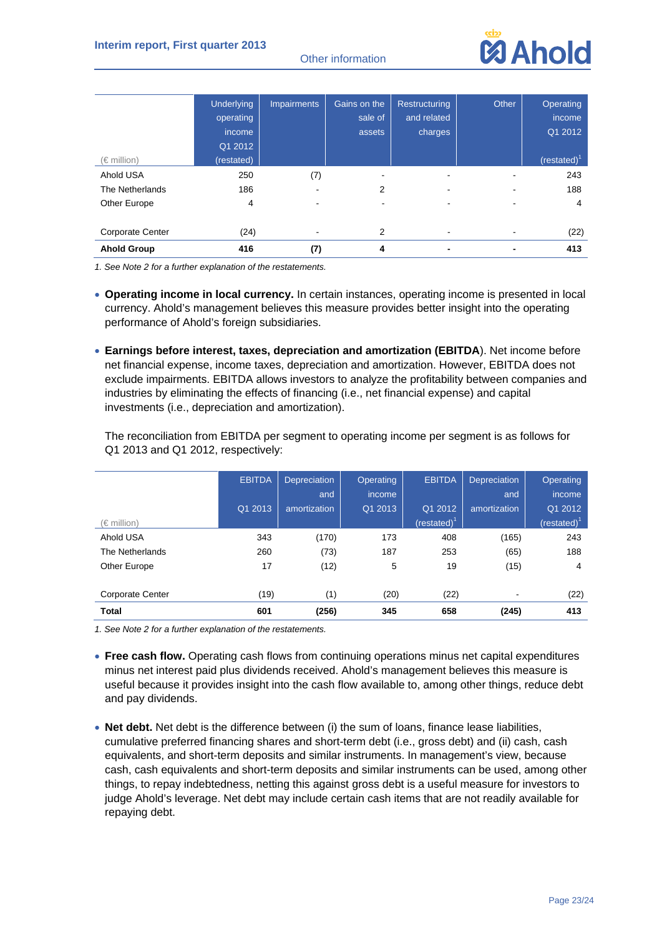Other information



|                         | <b>Underlying</b> | <b>Impairments</b> | Gains on the | <b>Restructuring</b> | Other | Operating      |
|-------------------------|-------------------|--------------------|--------------|----------------------|-------|----------------|
|                         | operating         |                    | sale of      | and related          |       | income         |
|                         | income            |                    | assets       | charges              |       | Q1 2012        |
|                         | Q1 2012           |                    |              |                      |       |                |
| $(\in$ million)         | (restated)        |                    |              |                      |       | $(restated)^T$ |
| Ahold USA               | 250               | (7)                |              |                      |       | 243            |
| The Netherlands         | 186               |                    | 2            |                      |       | 188            |
| Other Europe            | 4                 |                    |              |                      |       | 4              |
| <b>Corporate Center</b> | (24)              |                    | 2            |                      |       | (22)           |
|                         |                   |                    |              |                      |       |                |
| <b>Ahold Group</b>      | 416               | (7)                | 4            |                      |       | 413            |

*1. See Note 2 for a further explanation of the restatements.* 

- **Operating income in local currency.** In certain instances, operating income is presented in local currency. Ahold's management believes this measure provides better insight into the operating performance of Ahold's foreign subsidiaries.
- **Earnings before interest, taxes, depreciation and amortization (EBITDA**). Net income before net financial expense, income taxes, depreciation and amortization. However, EBITDA does not exclude impairments. EBITDA allows investors to analyze the profitability between companies and industries by eliminating the effects of financing (i.e., net financial expense) and capital investments (i.e., depreciation and amortization).

The reconciliation from EBITDA per segment to operating income per segment is as follows for Q1 2013 and Q1 2012, respectively:

|                         | <b>EBITDA</b> | Depreciation<br>and | <b>Operating</b><br>income | <b>EBITDA</b>  | Depreciation<br>and | <b>Operating</b><br>income |
|-------------------------|---------------|---------------------|----------------------------|----------------|---------------------|----------------------------|
|                         | Q1 2013       | amortization        | Q1 2013                    | Q1 2012        | amortization        | Q1 2012                    |
| (€ million)             |               |                     |                            | (restated) $1$ |                     | (restated) $^1$            |
| Ahold USA               | 343           | (170)               | 173                        | 408            | (165)               | 243                        |
| The Netherlands         | 260           | (73)                | 187                        | 253            | (65)                | 188                        |
| Other Europe            | 17            | (12)                | 5                          | 19             | (15)                | 4                          |
| <b>Corporate Center</b> | (19)          | (1)                 | (20)                       | (22)           |                     | (22)                       |
| <b>Total</b>            | 601           | (256)               | 345                        | 658            | (245)               | 413                        |

- **Free cash flow.** Operating cash flows from continuing operations minus net capital expenditures minus net interest paid plus dividends received. Ahold's management believes this measure is useful because it provides insight into the cash flow available to, among other things, reduce debt and pay dividends.
- **Net debt.** Net debt is the difference between (i) the sum of loans, finance lease liabilities, cumulative preferred financing shares and short-term debt (i.e., gross debt) and (ii) cash, cash equivalents, and short-term deposits and similar instruments. In management's view, because cash, cash equivalents and short-term deposits and similar instruments can be used, among other things, to repay indebtedness, netting this against gross debt is a useful measure for investors to judge Ahold's leverage. Net debt may include certain cash items that are not readily available for repaying debt.